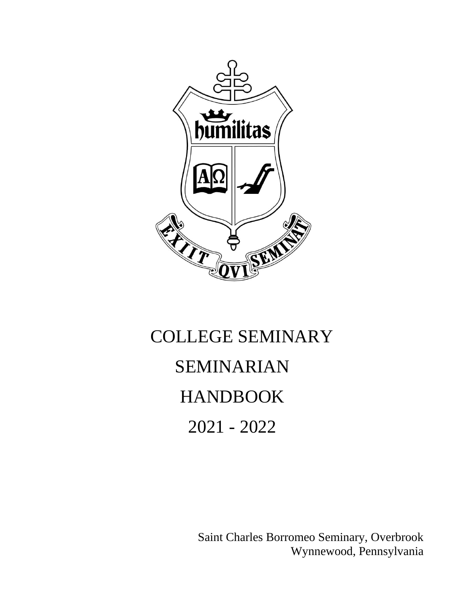

# COLLEGE SEMINARY SEMINARIAN HANDBOOK 2021 - 2022

Saint Charles Borromeo Seminary, Overbrook Wynnewood, Pennsylvania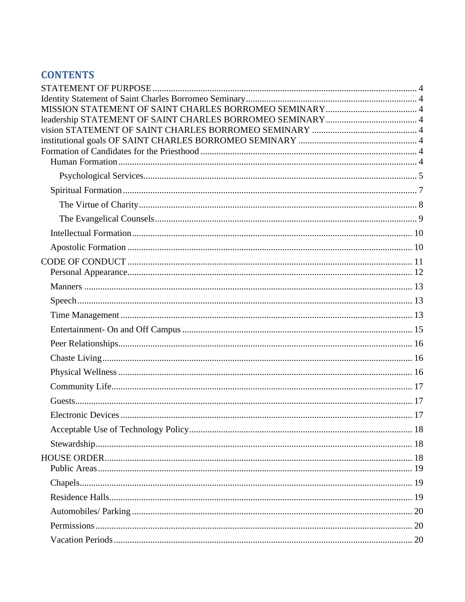# **CONTENTS**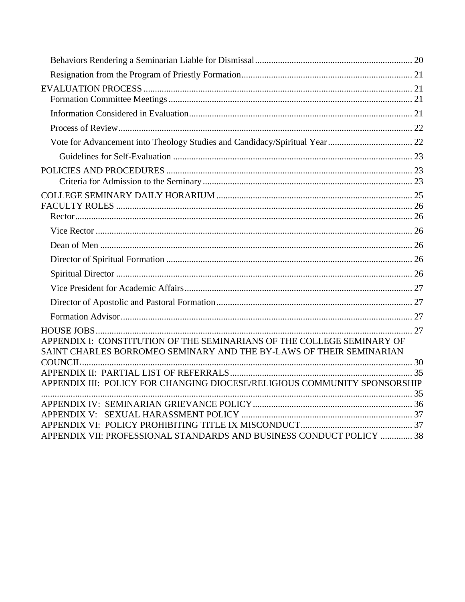| APPENDIX I: CONSTITUTION OF THE SEMINARIANS OF THE COLLEGE SEMINARY OF<br>SAINT CHARLES BORROMEO SEMINARY AND THE BY-LAWS OF THEIR SEMINARIAN |  |
|-----------------------------------------------------------------------------------------------------------------------------------------------|--|
|                                                                                                                                               |  |
|                                                                                                                                               |  |
| APPENDIX III: POLICY FOR CHANGING DIOCESE/RELIGIOUS COMMUNITY SPONSORSHIP                                                                     |  |
|                                                                                                                                               |  |
|                                                                                                                                               |  |
|                                                                                                                                               |  |
| APPENDIX VII: PROFESSIONAL STANDARDS AND BUSINESS CONDUCT POLICY  38                                                                          |  |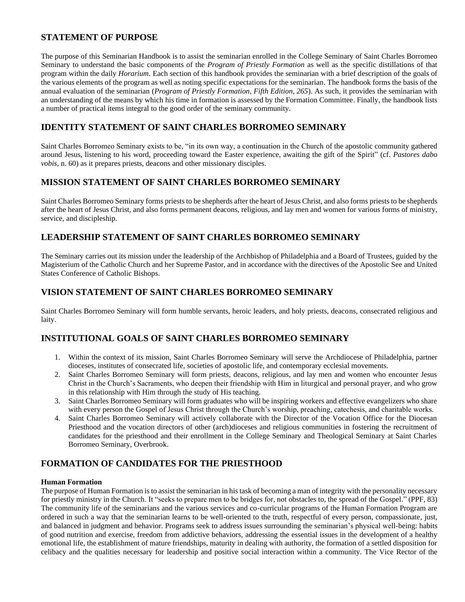# <span id="page-3-0"></span>**STATEMENT OF PURPOSE**

The purpose of this Seminarian Handbook is to assist the seminarian enrolled in the College Seminary of Saint Charles Borromeo Seminary to understand the basic components of the *Program of Priestly Formation* as well as the specific distillations of that program within the daily *Horarium*. Each section of this handbook provides the seminarian with a brief description of the goals of the various elements of the program as well as noting specific expectations for the seminarian. The handbook forms the basis of the annual evaluation of the seminarian (*Program of Priestly Formation, Fifth Edition, 265*). As such, it provides the seminarian with an understanding of the means by which his time in formation is assessed by the Formation Committee. Finally, the handbook lists a number of practical items integral to the good order of the seminary community.

# <span id="page-3-1"></span>**IDENTITY STATEMENT OF SAINT CHARLES BORROMEO SEMINARY**

Saint Charles Borromeo Seminary exists to be, "in its own way, a continuation in the Church of the apostolic community gathered around Jesus, listening to his word, proceeding toward the Easter experience, awaiting the gift of the Spirit" (cf. *Pastores dabo vobis*, n. 60) as it prepares priests, deacons and other missionary disciples.

# <span id="page-3-2"></span>**MISSION STATEMENT OF SAINT CHARLES BORROMEO SEMINARY**

Saint Charles Borromeo Seminary forms priests to be shepherds after the heart of Jesus Christ, and also forms priests to be shepherds after the heart of Jesus Christ, and also forms permanent deacons, religious, and lay men and women for various forms of ministry, service, and discipleship.

# <span id="page-3-3"></span>**LEADERSHIP STATEMENT OF SAINT CHARLES BORROMEO SEMINARY**

The Seminary carries out its mission under the leadership of the Archbishop of Philadelphia and a Board of Trustees, guided by the Magisterium of the Catholic Church and her Supreme Pastor, and in accordance with the directives of the Apostolic See and United States Conference of Catholic Bishops.

# <span id="page-3-4"></span>**VISION STATEMENT OF SAINT CHARLES BORROMEO SEMINARY**

Saint Charles Borromeo Seminary will form humble servants, heroic leaders, and holy priests, deacons, consecrated religious and laity.

# <span id="page-3-5"></span>**INSTITUTIONAL GOALS OF SAINT CHARLES BORROMEO SEMINARY**

- 1. Within the context of its mission, Saint Charles Borromeo Seminary will serve the Archdiocese of Philadelphia, partner dioceses, institutes of consecrated life, societies of apostolic life, and contemporary ecclesial movements.
- 2. Saint Charles Borromeo Seminary will form priests, deacons, religious, and lay men and women who encounter Jesus Christ in the Church's Sacraments, who deepen their friendship with Him in liturgical and personal prayer, and who grow in this relationship with Him through the study of His teaching.
- 3. Saint Charles Borromeo Seminary will form graduates who will be inspiring workers and effective evangelizers who share with every person the Gospel of Jesus Christ through the Church's worship, preaching, catechesis, and charitable works.
- 4. Saint Charles Borromeo Seminary will actively collaborate with the Director of the Vocation Office for the Diocesan Priesthood and the vocation directors of other (arch)dioceses and religious communities in fostering the recruitment of candidates for the priesthood and their enrollment in the College Seminary and Theological Seminary at Saint Charles Borromeo Seminary, Overbrook.

# <span id="page-3-6"></span>**FORMATION OF CANDIDATES FOR THE PRIESTHOOD**

# <span id="page-3-7"></span>**Human Formation**

The purpose of Human Formation is to assist the seminarian in his task of becoming a man of integrity with the personality necessary for priestly ministry in the Church. It "seeks to prepare men to be bridges for, not obstacles to, the spread of the Gospel." (PPF, 83) The community life of the seminarians and the various services and co-curricular programs of the Human Formation Program are ordered in such a way that the seminarian learns to be well-oriented to the truth, respectful of every person, compassionate, just, and balanced in judgment and behavior. Programs seek to address issues surrounding the seminarian's physical well-being: habits of good nutrition and exercise, freedom from addictive behaviors, addressing the essential issues in the development of a healthy emotional life, the establishment of mature friendships, maturity in dealing with authority, the formation of a settled disposition for celibacy and the qualities necessary for leadership and positive social interaction within a community. The Vice Rector of the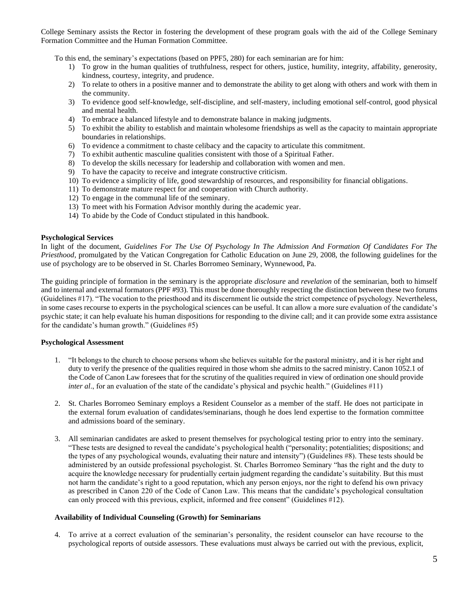College Seminary assists the Rector in fostering the development of these program goals with the aid of the College Seminary Formation Committee and the Human Formation Committee.

To this end, the seminary's expectations (based on PPF5, 280) for each seminarian are for him:

- 1) To grow in the human qualities of truthfulness, respect for others, justice, humility, integrity, affability, generosity, kindness, courtesy, integrity, and prudence.
- 2) To relate to others in a positive manner and to demonstrate the ability to get along with others and work with them in the community.
- 3) To evidence good self-knowledge, self-discipline, and self-mastery, including emotional self-control, good physical and mental health.
- 4) To embrace a balanced lifestyle and to demonstrate balance in making judgments.
- 5) To exhibit the ability to establish and maintain wholesome friendships as well as the capacity to maintain appropriate boundaries in relationships.
- 6) To evidence a commitment to chaste celibacy and the capacity to articulate this commitment.
- 7) To exhibit authentic masculine qualities consistent with those of a Spiritual Father.
- 8) To develop the skills necessary for leadership and collaboration with women and men.
- 9) To have the capacity to receive and integrate constructive criticism.
- 10) To evidence a simplicity of life, good stewardship of resources, and responsibility for financial obligations.
- 11) To demonstrate mature respect for and cooperation with Church authority.
- 12) To engage in the communal life of the seminary.
- 13) To meet with his Formation Advisor monthly during the academic year.
- 14) To abide by the Code of Conduct stipulated in this handbook.

# <span id="page-4-0"></span>**Psychological Services**

In light of the document, *Guidelines For The Use Of Psychology In The Admission And Formation Of Candidates For The Priesthood*, promulgated by the Vatican Congregation for Catholic Education on June 29, 2008, the following guidelines for the use of psychology are to be observed in St. Charles Borromeo Seminary, Wynnewood, Pa.

The guiding principle of formation in the seminary is the appropriate *disclosure* and *revelation* of the seminarian, both to himself and to internal and external formators (PPF #93). This must be done thoroughly respecting the distinction between these two forums (Guidelines #17). "The vocation to the priesthood and its discernment lie outside the strict competence of psychology. Nevertheless, in some cases recourse to experts in the psychological sciences can be useful. It can allow a more sure evaluation of the candidate's psychic state; it can help evaluate his human dispositions for responding to the divine call; and it can provide some extra assistance for the candidate's human growth." (Guidelines #5)

# **Psychological Assessment**

- 1. "It belongs to the church to choose persons whom she believes suitable for the pastoral ministry, and it is her right and duty to verify the presence of the qualities required in those whom she admits to the sacred ministry. Canon 1052.1 of the Code of Canon Law foresees that for the scrutiny of the qualities required in view of ordination one should provide *inter al.*, for an evaluation of the state of the candidate's physical and psychic health." (Guidelines #11)
- 2. St. Charles Borromeo Seminary employs a Resident Counselor as a member of the staff. He does not participate in the external forum evaluation of candidates/seminarians, though he does lend expertise to the formation committee and admissions board of the seminary.
- 3. All seminarian candidates are asked to present themselves for psychological testing prior to entry into the seminary. "These tests are designed to reveal the candidate's psychological health ("personality; potentialities; dispositions; and the types of any psychological wounds, evaluating their nature and intensity") (Guidelines #8). These tests should be administered by an outside professional psychologist. St. Charles Borromeo Seminary "has the right and the duty to acquire the knowledge necessary for prudentially certain judgment regarding the candidate's suitability. But this must not harm the candidate's right to a good reputation, which any person enjoys, nor the right to defend his own privacy as prescribed in Canon 220 of the Code of Canon Law. This means that the candidate's psychological consultation can only proceed with this previous, explicit, informed and free consent" (Guidelines #12).

#### **Availability of Individual Counseling (Growth) for Seminarians**

4. To arrive at a correct evaluation of the seminarian's personality, the resident counselor can have recourse to the psychological reports of outside assessors. These evaluations must always be carried out with the previous, explicit,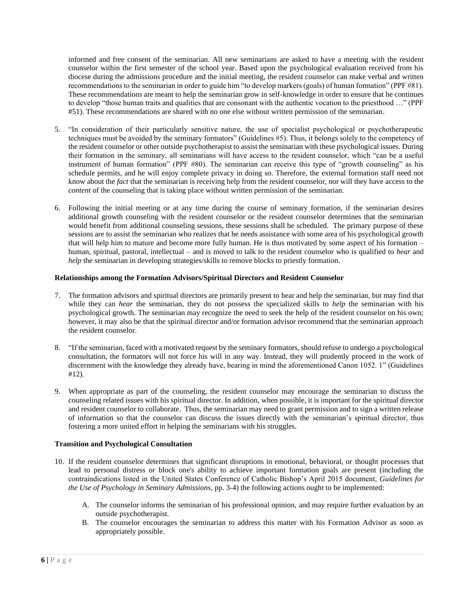informed and free consent of the seminarian. All new seminarians are asked to have a meeting with the resident counselor within the first semester of the school year. Based upon the psychological evaluation received from his diocese during the admissions procedure and the initial meeting, the resident counselor can make verbal and written recommendations to the seminarian in order to guide him "to develop markers (goals) of human formation" (PPF #81). These recommendations are meant to help the seminarian grow in self-knowledge in order to ensure that he continues to develop "those human traits and qualities that are consonant with the authentic vocation to the priesthood …" (PPF #51). These recommendations are shared with no one else without written permission of the seminarian.

- 5. "In consideration of their particularly sensitive nature, the use of specialist psychological or psychotherapeutic techniques must be avoided by the seminary formators" (Guidelines #5). Thus, it belongs solely to the competency of the resident counselor or other outside psychotherapist to assist the seminarian with these psychological issues. During their formation in the seminary, all seminarians will have access to the resident counselor, which "can be a useful instrument of human formation" (PPF #80). The seminarian can receive this type of "growth counseling" as his schedule permits, and he will enjoy complete privacy in doing so. Therefore, the external formation staff need not know about the *fact* that the seminarian is receiving help from the resident counselor, nor will they have access to the *content* of the counseling that is taking place without written permission of the seminarian.
- 6. Following the initial meeting or at any time during the course of seminary formation, if the seminarian desires additional growth counseling with the resident counselor or the resident counselor determines that the seminarian would benefit from additional counseling sessions, these sessions shall be scheduled. The primary purpose of these sessions are to assist the seminarian who realizes that he needs assistance with some area of his psychological growth that will help him to mature and become more fully human. He is thus motivated by some aspect of his formation – human, spiritual, pastoral, intellectual – and is moved to talk to the resident counselor who is qualified to *hear* and *help* the seminarian in developing strategies/skills to remove blocks to priestly formation.

# **Relationships among the Formation Advisors/Spiritual Directors and Resident Counselor**

- 7. The formation advisors and spiritual directors are primarily present to hear and help the seminarian, but may find that while they can *hear* the seminarian, they do not possess the specialized skills to *help* the seminarian with his psychological growth. The seminarian may recognize the need to seek the help of the resident counselor on his own; however, it may also be that the spiritual director and/or formation advisor recommend that the seminarian approach the resident counselor.
- 8. "If the seminarian, faced with a motivated request by the seminary formators, should refuse to undergo a psychological consultation, the formators will not force his will in any way. Instead, they will prudently proceed in the work of discernment with the knowledge they already have, bearing in mind the aforementioned Canon 1052. 1" (Guidelines #12).
- 9. When appropriate as part of the counseling, the resident counselor may encourage the seminarian to discuss the counseling related issues with his spiritual director. In addition, when possible, it is important for the spiritual director and resident counselor to collaborate. Thus, the seminarian may need to grant permission and to sign a written release of information so that the counselor can discuss the issues directly with the seminarian's spiritual director, thus fostering a more united effort in helping the seminarians with his struggles.

# **Transition and Psychological Consultation**

- 10. If the resident counselor determines that significant disruptions in emotional, behavioral, or thought processes that lead to personal distress or block one's ability to achieve important formation goals are present (including the contraindications listed in the United States Conference of Catholic Bishop's April 2015 document, *Guidelines for the Use of Psychology in Seminary Admissions*, pp. 3-4) the following actions ought to be implemented:
	- A. The counselor informs the seminarian of his professional opinion, and may require further evaluation by an outside psychotherapist.
	- B. The counselor encourages the seminarian to address this matter with his Formation Advisor as soon as appropriately possible.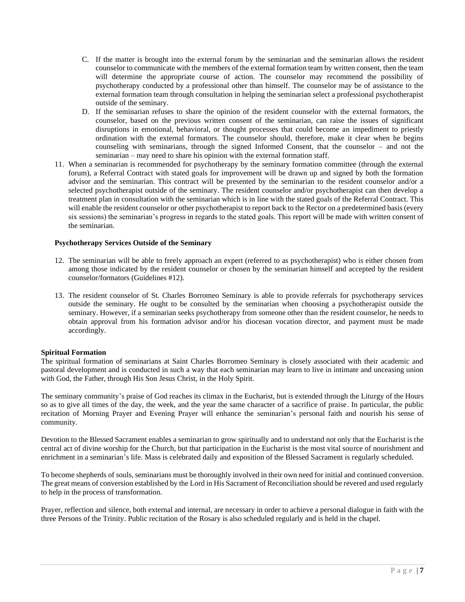- C. If the matter is brought into the external forum by the seminarian and the seminarian allows the resident counselor to communicate with the members of the external formation team by written consent, then the team will determine the appropriate course of action. The counselor may recommend the possibility of psychotherapy conducted by a professional other than himself. The counselor may be of assistance to the external formation team through consultation in helping the seminarian select a professional psychotherapist outside of the seminary.
- D. If the seminarian refuses to share the opinion of the resident counselor with the external formators, the counselor, based on the previous written consent of the seminarian, can raise the issues of significant disruptions in emotional, behavioral, or thought processes that could become an impediment to priestly ordination with the external formators. The counselor should, therefore, make it clear when he begins counseling with seminarians, through the signed Informed Consent, that the counselor – and not the seminarian – may need to share his opinion with the external formation staff.
- 11. When a seminarian is recommended for psychotherapy by the seminary formation committee (through the external forum), a Referral Contract with stated goals for improvement will be drawn up and signed by both the formation advisor and the seminarian. This contract will be presented by the seminarian to the resident counselor and/or a selected psychotherapist outside of the seminary. The resident counselor and/or psychotherapist can then develop a treatment plan in consultation with the seminarian which is in line with the stated goals of the Referral Contract. This will enable the resident counselor or other psychotherapist to report back to the Rector on a predetermined basis (every six sessions) the seminarian's progress in regards to the stated goals. This report will be made with written consent of the seminarian.

# **Psychotherapy Services Outside of the Seminary**

- 12. The seminarian will be able to freely approach an expert (referred to as psychotherapist) who is either chosen from among those indicated by the resident counselor or chosen by the seminarian himself and accepted by the resident counselor/formators (Guidelines #12).
- 13. The resident counselor of St. Charles Borromeo Seminary is able to provide referrals for psychotherapy services outside the seminary. He ought to be consulted by the seminarian when choosing a psychotherapist outside the seminary. However, if a seminarian seeks psychotherapy from someone other than the resident counselor, he needs to obtain approval from his formation advisor and/or his diocesan vocation director, and payment must be made accordingly.

# <span id="page-6-0"></span>**Spiritual Formation**

The spiritual formation of seminarians at Saint Charles Borromeo Seminary is closely associated with their academic and pastoral development and is conducted in such a way that each seminarian may learn to live in intimate and unceasing union with God, the Father, through His Son Jesus Christ, in the Holy Spirit.

The seminary community's praise of God reaches its climax in the Eucharist, but is extended through the Liturgy of the Hours so as to give all times of the day, the week, and the year the same character of a sacrifice of praise. In particular, the public recitation of Morning Prayer and Evening Prayer will enhance the seminarian's personal faith and nourish his sense of community.

Devotion to the Blessed Sacrament enables a seminarian to grow spiritually and to understand not only that the Eucharist is the central act of divine worship for the Church, but that participation in the Eucharist is the most vital source of nourishment and enrichment in a seminarian's life. Mass is celebrated daily and exposition of the Blessed Sacrament is regularly scheduled.

To become shepherds of souls, seminarians must be thoroughly involved in their own need for initial and continued conversion. The great means of conversion established by the Lord in His Sacrament of Reconciliation should be revered and used regularly to help in the process of transformation.

Prayer, reflection and silence, both external and internal, are necessary in order to achieve a personal dialogue in faith with the three Persons of the Trinity. Public recitation of the Rosary is also scheduled regularly and is held in the chapel.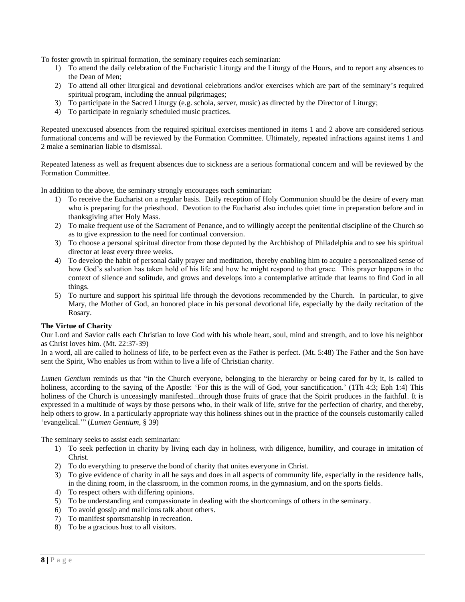To foster growth in spiritual formation, the seminary requires each seminarian:

- 1) To attend the daily celebration of the Eucharistic Liturgy and the Liturgy of the Hours, and to report any absences to the Dean of Men;
- 2) To attend all other liturgical and devotional celebrations and/or exercises which are part of the seminary's required spiritual program, including the annual pilgrimages;
- 3) To participate in the Sacred Liturgy (e.g. schola, server, music) as directed by the Director of Liturgy;
- 4) To participate in regularly scheduled music practices.

Repeated unexcused absences from the required spiritual exercises mentioned in items 1 and 2 above are considered serious formational concerns and will be reviewed by the Formation Committee. Ultimately, repeated infractions against items 1 and 2 make a seminarian liable to dismissal.

Repeated lateness as well as frequent absences due to sickness are a serious formational concern and will be reviewed by the Formation Committee.

In addition to the above, the seminary strongly encourages each seminarian:

- 1) To receive the Eucharist on a regular basis. Daily reception of Holy Communion should be the desire of every man who is preparing for the priesthood. Devotion to the Eucharist also includes quiet time in preparation before and in thanksgiving after Holy Mass.
- 2) To make frequent use of the Sacrament of Penance, and to willingly accept the penitential discipline of the Church so as to give expression to the need for continual conversion.
- 3) To choose a personal spiritual director from those deputed by the Archbishop of Philadelphia and to see his spiritual director at least every three weeks.
- 4) To develop the habit of personal daily prayer and meditation, thereby enabling him to acquire a personalized sense of how God's salvation has taken hold of his life and how he might respond to that grace. This prayer happens in the context of silence and solitude, and grows and develops into a contemplative attitude that learns to find God in all things.
- 5) To nurture and support his spiritual life through the devotions recommended by the Church. In particular, to give Mary, the Mother of God, an honored place in his personal devotional life, especially by the daily recitation of the Rosary.

# <span id="page-7-0"></span>**The Virtue of Charity**

Our Lord and Savior calls each Christian to love God with his whole heart, soul, mind and strength, and to love his neighbor as Christ loves him. (Mt. 22:37-39)

In a word, all are called to holiness of life, to be perfect even as the Father is perfect. (Mt. 5:48) The Father and the Son have sent the Spirit, Who enables us from within to live a life of Christian charity.

*Lumen Gentium* reminds us that "in the Church everyone, belonging to the hierarchy or being cared for by it, is called to holiness, according to the saying of the Apostle: 'For this is the will of God, your sanctification.' (1Th 4:3; Eph 1:4) This holiness of the Church is unceasingly manifested...through those fruits of grace that the Spirit produces in the faithful. It is expressed in a multitude of ways by those persons who, in their walk of life, strive for the perfection of charity, and thereby, help others to grow. In a particularly appropriate way this holiness shines out in the practice of the counsels customarily called 'evangelical.'" (*Lumen Gentium*, § 39)

The seminary seeks to assist each seminarian:

- 1) To seek perfection in charity by living each day in holiness, with diligence, humility, and courage in imitation of Christ.
- 2) To do everything to preserve the bond of charity that unites everyone in Christ.
- 3) To give evidence of charity in all he says and does in all aspects of community life, especially in the residence halls, in the dining room, in the classroom, in the common rooms, in the gymnasium, and on the sports fields.
- 4) To respect others with differing opinions.
- 5) To be understanding and compassionate in dealing with the shortcomings of others in the seminary.
- 6) To avoid gossip and malicious talk about others.
- 7) To manifest sportsmanship in recreation.
- 8) To be a gracious host to all visitors.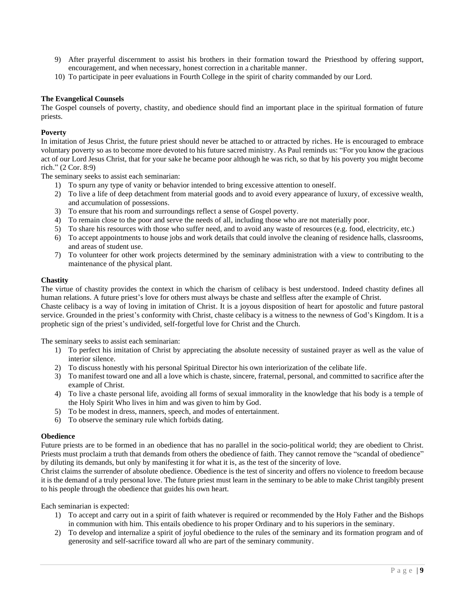- 9) After prayerful discernment to assist his brothers in their formation toward the Priesthood by offering support, encouragement, and when necessary, honest correction in a charitable manner.
- 10) To participate in peer evaluations in Fourth College in the spirit of charity commanded by our Lord.

#### <span id="page-8-0"></span>**The Evangelical Counsels**

The Gospel counsels of poverty, chastity, and obedience should find an important place in the spiritual formation of future priests.

#### **Poverty**

In imitation of Jesus Christ, the future priest should never be attached to or attracted by riches. He is encouraged to embrace voluntary poverty so as to become more devoted to his future sacred ministry. As Paul reminds us: "For you know the gracious act of our Lord Jesus Christ, that for your sake he became poor although he was rich, so that by his poverty you might become rich." (2 Cor. 8:9)

The seminary seeks to assist each seminarian:

- 1) To spurn any type of vanity or behavior intended to bring excessive attention to oneself.
- 2) To live a life of deep detachment from material goods and to avoid every appearance of luxury, of excessive wealth, and accumulation of possessions.
- 3) To ensure that his room and surroundings reflect a sense of Gospel poverty.
- 4) To remain close to the poor and serve the needs of all, including those who are not materially poor.
- 5) To share his resources with those who suffer need, and to avoid any waste of resources (e.g. food, electricity, etc.)
- 6) To accept appointments to house jobs and work details that could involve the cleaning of residence halls, classrooms, and areas of student use.
- 7) To volunteer for other work projects determined by the seminary administration with a view to contributing to the maintenance of the physical plant.

# **Chastity**

The virtue of chastity provides the context in which the charism of celibacy is best understood. Indeed chastity defines all human relations. A future priest's love for others must always be chaste and selfless after the example of Christ.

Chaste celibacy is a way of loving in imitation of Christ. It is a joyous disposition of heart for apostolic and future pastoral service. Grounded in the priest's conformity with Christ, chaste celibacy is a witness to the newness of God's Kingdom. It is a prophetic sign of the priest's undivided, self-forgetful love for Christ and the Church.

The seminary seeks to assist each seminarian:

- 1) To perfect his imitation of Christ by appreciating the absolute necessity of sustained prayer as well as the value of interior silence.
- 2) To discuss honestly with his personal Spiritual Director his own interiorization of the celibate life.
- 3) To manifest toward one and all a love which is chaste, sincere, fraternal, personal, and committed to sacrifice after the example of Christ.
- 4) To live a chaste personal life, avoiding all forms of sexual immorality in the knowledge that his body is a temple of the Holy Spirit Who lives in him and was given to him by God.
- 5) To be modest in dress, manners, speech, and modes of entertainment.
- 6) To observe the seminary rule which forbids dating.

#### **Obedience**

Future priests are to be formed in an obedience that has no parallel in the socio-political world; they are obedient to Christ. Priests must proclaim a truth that demands from others the obedience of faith. They cannot remove the "scandal of obedience" by diluting its demands, but only by manifesting it for what it is, as the test of the sincerity of love.

Christ claims the surrender of absolute obedience. Obedience is the test of sincerity and offers no violence to freedom because it is the demand of a truly personal love. The future priest must learn in the seminary to be able to make Christ tangibly present to his people through the obedience that guides his own heart.

Each seminarian is expected:

- 1) To accept and carry out in a spirit of faith whatever is required or recommended by the Holy Father and the Bishops in communion with him. This entails obedience to his proper Ordinary and to his superiors in the seminary.
- 2) To develop and internalize a spirit of joyful obedience to the rules of the seminary and its formation program and of generosity and self-sacrifice toward all who are part of the seminary community.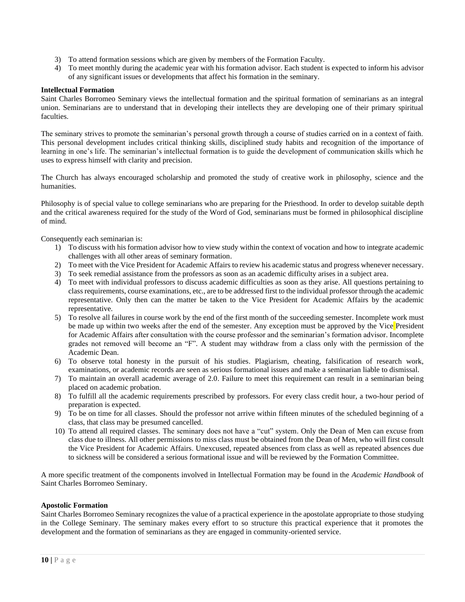- 3) To attend formation sessions which are given by members of the Formation Faculty.
- 4) To meet monthly during the academic year with his formation advisor. Each student is expected to inform his advisor of any significant issues or developments that affect his formation in the seminary.

#### <span id="page-9-0"></span>**Intellectual Formation**

Saint Charles Borromeo Seminary views the intellectual formation and the spiritual formation of seminarians as an integral union. Seminarians are to understand that in developing their intellects they are developing one of their primary spiritual faculties.

The seminary strives to promote the seminarian's personal growth through a course of studies carried on in a context of faith. This personal development includes critical thinking skills, disciplined study habits and recognition of the importance of learning in one's life. The seminarian's intellectual formation is to guide the development of communication skills which he uses to express himself with clarity and precision.

The Church has always encouraged scholarship and promoted the study of creative work in philosophy, science and the humanities.

Philosophy is of special value to college seminarians who are preparing for the Priesthood. In order to develop suitable depth and the critical awareness required for the study of the Word of God, seminarians must be formed in philosophical discipline of mind.

Consequently each seminarian is:

- 1) To discuss with his formation advisor how to view study within the context of vocation and how to integrate academic challenges with all other areas of seminary formation.
- 2) To meet with the Vice President for Academic Affairs to review his academic status and progress whenever necessary.
- 3) To seek remedial assistance from the professors as soon as an academic difficulty arises in a subject area.
- 4) To meet with individual professors to discuss academic difficulties as soon as they arise. All questions pertaining to class requirements, course examinations, etc., are to be addressed first to the individual professor through the academic representative. Only then can the matter be taken to the Vice President for Academic Affairs by the academic representative.
- 5) To resolve all failures in course work by the end of the first month of the succeeding semester. Incomplete work must be made up within two weeks after the end of the semester. Any exception must be approved by the Vice President for Academic Affairs after consultation with the course professor and the seminarian's formation advisor. Incomplete grades not removed will become an "F". A student may withdraw from a class only with the permission of the Academic Dean.
- 6) To observe total honesty in the pursuit of his studies. Plagiarism, cheating, falsification of research work, examinations, or academic records are seen as serious formational issues and make a seminarian liable to dismissal.
- 7) To maintain an overall academic average of 2.0. Failure to meet this requirement can result in a seminarian being placed on academic probation.
- 8) To fulfill all the academic requirements prescribed by professors. For every class credit hour, a two-hour period of preparation is expected.
- 9) To be on time for all classes. Should the professor not arrive within fifteen minutes of the scheduled beginning of a class, that class may be presumed cancelled.
- 10) To attend all required classes. The seminary does not have a "cut" system. Only the Dean of Men can excuse from class due to illness. All other permissions to miss class must be obtained from the Dean of Men, who will first consult the Vice President for Academic Affairs. Unexcused, repeated absences from class as well as repeated absences due to sickness will be considered a serious formational issue and will be reviewed by the Formation Committee.

A more specific treatment of the components involved in Intellectual Formation may be found in the *Academic Handbook* of Saint Charles Borromeo Seminary.

# <span id="page-9-1"></span>**Apostolic Formation**

Saint Charles Borromeo Seminary recognizes the value of a practical experience in the apostolate appropriate to those studying in the College Seminary. The seminary makes every effort to so structure this practical experience that it promotes the development and the formation of seminarians as they are engaged in community-oriented service.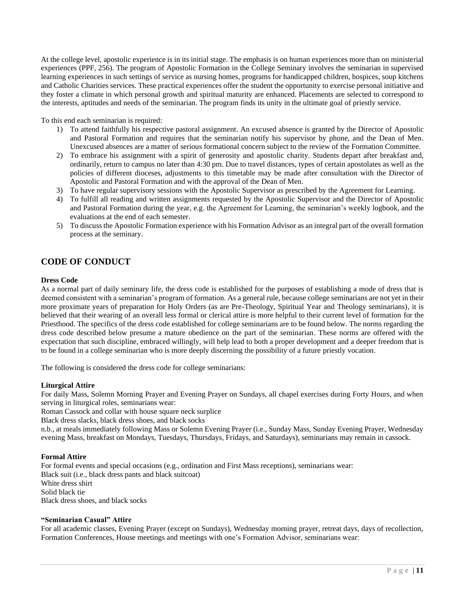At the college level, apostolic experience is in its initial stage. The emphasis is on human experiences more than on ministerial experiences (PPF, 256). The program of Apostolic Formation in the College Seminary involves the seminarian in supervised learning experiences in such settings of service as nursing homes, programs for handicapped children, hospices, soup kitchens and Catholic Charities services. These practical experiences offer the student the opportunity to exercise personal initiative and they foster a climate in which personal growth and spiritual maturity are enhanced. Placements are selected to correspond to the interests, aptitudes and needs of the seminarian. The program finds its unity in the ultimate goal of priestly service.

To this end each seminarian is required:

- 1) To attend faithfully his respective pastoral assignment. An excused absence is granted by the Director of Apostolic and Pastoral Formation and requires that the seminarian notify his supervisor by phone, and the Dean of Men. Unexcused absences are a matter of serious formational concern subject to the review of the Formation Committee.
- 2) To embrace his assignment with a spirit of generosity and apostolic charity. Students depart after breakfast and, ordinarily, return to campus no later than 4:30 pm. Due to travel distances, types of certain apostolates as well as the policies of different dioceses, adjustments to this timetable may be made after consultation with the Director of Apostolic and Pastoral Formation and with the approval of the Dean of Men.
- 3) To have regular supervisory sessions with the Apostolic Supervisor as prescribed by the Agreement for Learning.
- 4) To fulfill all reading and written assignments requested by the Apostolic Supervisor and the Director of Apostolic and Pastoral Formation during the year, e.g. the Agreement for Learning, the seminarian's weekly logbook, and the evaluations at the end of each semester.
- 5) To discuss the Apostolic Formation experience with his Formation Advisor as an integral part of the overall formation process at the seminary.

# <span id="page-10-0"></span>**CODE OF CONDUCT**

# **Dress Code**

As a normal part of daily seminary life, the dress code is established for the purposes of establishing a mode of dress that is deemed consistent with a seminarian's program of formation. As a general rule, because college seminarians are not yet in their more proximate years of preparation for Holy Orders (as are Pre-Theology, Spiritual Year and Theology seminarians), it is believed that their wearing of an overall less formal or clerical attire is more helpful to their current level of formation for the Priesthood. The specifics of the dress code established for college seminarians are to be found below. The norms regarding the dress code described below presume a mature obedience on the part of the seminarian. These norms are offered with the expectation that such discipline, embraced willingly, will help lead to both a proper development and a deeper freedom that is to be found in a college seminarian who is more deeply discerning the possibility of a future priestly vocation.

The following is considered the dress code for college seminarians:

#### **Liturgical Attire**

For daily Mass, Solemn Morning Prayer and Evening Prayer on Sundays, all chapel exercises during Forty Hours, and when serving in liturgical roles, seminarians wear:

Roman Cassock and collar with house square neck surplice

Black dress slacks, black dress shoes, and black socks

n.b., at meals immediately following Mass or Solemn Evening Prayer (i.e., Sunday Mass, Sunday Evening Prayer, Wednesday evening Mass, breakfast on Mondays, Tuesdays, Thursdays, Fridays, and Saturdays), seminarians may remain in cassock.

#### **Formal Attire**

For formal events and special occasions (e.g., ordination and First Mass receptions), seminarians wear: Black suit (i.e., black dress pants and black suitcoat) White dress shirt Solid black tie Black dress shoes, and black socks

#### **"Seminarian Casual" Attire**

For all academic classes, Evening Prayer (except on Sundays), Wednesday morning prayer, retreat days, days of recollection, Formation Conferences, House meetings and meetings with one's Formation Advisor, seminarians wear: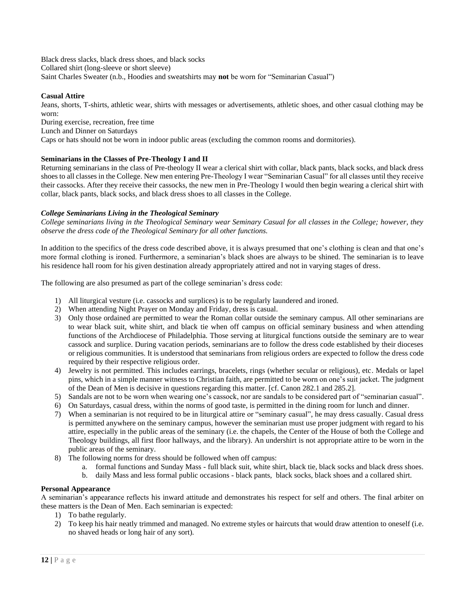Black dress slacks, black dress shoes, and black socks Collared shirt (long-sleeve or short sleeve) Saint Charles Sweater (n.b., Hoodies and sweatshirts may **not** be worn for "Seminarian Casual")

# **Casual Attire**

Jeans, shorts, T-shirts, athletic wear, shirts with messages or advertisements, athletic shoes, and other casual clothing may be worn:

During exercise, recreation, free time

Lunch and Dinner on Saturdays

Caps or hats should not be worn in indoor public areas (excluding the common rooms and dormitories).

# **Seminarians in the Classes of Pre-Theology I and II**

Returning seminarians in the class of Pre-theology II wear a clerical shirt with collar, black pants, black socks, and black dress shoes to all classes in the College. New men entering Pre-Theology I wear "Seminarian Casual" for all classes until they receive their cassocks. After they receive their cassocks, the new men in Pre-Theology I would then begin wearing a clerical shirt with collar, black pants, black socks, and black dress shoes to all classes in the College.

# *College Seminarians Living in the Theological Seminary*

*College seminarians living in the Theological Seminary wear Seminary Casual for all classes in the College; however, they observe the dress code of the Theological Seminary for all other functions.*

In addition to the specifics of the dress code described above, it is always presumed that one's clothing is clean and that one's more formal clothing is ironed. Furthermore, a seminarian's black shoes are always to be shined. The seminarian is to leave his residence hall room for his given destination already appropriately attired and not in varying stages of dress.

The following are also presumed as part of the college seminarian's dress code:

- 1) All liturgical vesture (i.e. cassocks and surplices) is to be regularly laundered and ironed.
- 2) When attending Night Prayer on Monday and Friday, dress is casual.
- 3) Only those ordained are permitted to wear the Roman collar outside the seminary campus. All other seminarians are to wear black suit, white shirt, and black tie when off campus on official seminary business and when attending functions of the Archdiocese of Philadelphia. Those serving at liturgical functions outside the seminary are to wear cassock and surplice. During vacation periods, seminarians are to follow the dress code established by their dioceses or religious communities. It is understood that seminarians from religious orders are expected to follow the dress code required by their respective religious order.
- 4) Jewelry is not permitted. This includes earrings, bracelets, rings (whether secular or religious), etc. Medals or lapel pins, which in a simple manner witness to Christian faith, are permitted to be worn on one's suit jacket. The judgment of the Dean of Men is decisive in questions regarding this matter. [cf. Canon 282.1 and 285.2].
- 5) Sandals are not to be worn when wearing one's cassock, nor are sandals to be considered part of "seminarian casual".
- 6) On Saturdays, casual dress, within the norms of good taste, is permitted in the dining room for lunch and dinner.
- 7) When a seminarian is not required to be in liturgical attire or "seminary casual", he may dress casually. Casual dress is permitted anywhere on the seminary campus, however the seminarian must use proper judgment with regard to his attire, especially in the public areas of the seminary (i.e. the chapels, the Center of the House of both the College and Theology buildings, all first floor hallways, and the library). An undershirt is not appropriate attire to be worn in the public areas of the seminary.
- 8) The following norms for dress should be followed when off campus:
	- a. formal functions and Sunday Mass full black suit, white shirt, black tie, black socks and black dress shoes.
	- b. daily Mass and less formal public occasions black pants, black socks, black shoes and a collared shirt.

# <span id="page-11-0"></span>**Personal Appearance**

A seminarian's appearance reflects his inward attitude and demonstrates his respect for self and others. The final arbiter on these matters is the Dean of Men. Each seminarian is expected:

- 1) To bathe regularly.
- 2) To keep his hair neatly trimmed and managed. No extreme styles or haircuts that would draw attention to oneself (i.e. no shaved heads or long hair of any sort).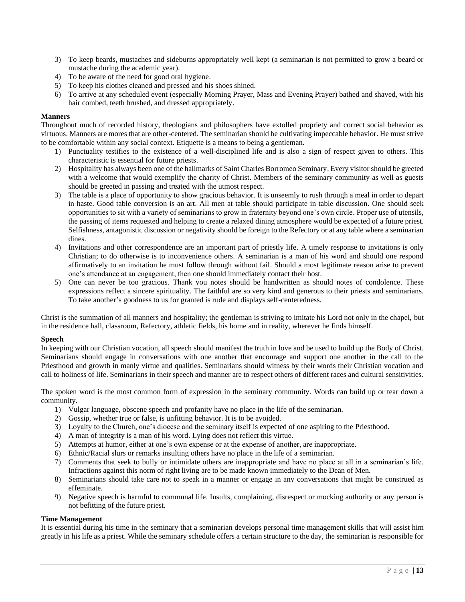- 3) To keep beards, mustaches and sideburns appropriately well kept (a seminarian is not permitted to grow a beard or mustache during the academic year).
- 4) To be aware of the need for good oral hygiene.
- 5) To keep his clothes cleaned and pressed and his shoes shined.
- 6) To arrive at any scheduled event (especially Morning Prayer, Mass and Evening Prayer) bathed and shaved, with his hair combed, teeth brushed, and dressed appropriately.

#### <span id="page-12-0"></span>**Manners**

Throughout much of recorded history, theologians and philosophers have extolled propriety and correct social behavior as virtuous. Manners are mores that are other-centered. The seminarian should be cultivating impeccable behavior. He must strive to be comfortable within any social context. Etiquette is a means to being a gentleman.

- 1) Punctuality testifies to the existence of a well-disciplined life and is also a sign of respect given to others. This characteristic is essential for future priests.
- 2) Hospitality has always been one of the hallmarks of Saint Charles Borromeo Seminary. Every visitor should be greeted with a welcome that would exemplify the charity of Christ. Members of the seminary community as well as guests should be greeted in passing and treated with the utmost respect.
- 3) The table is a place of opportunity to show gracious behavior. It is unseemly to rush through a meal in order to depart in haste. Good table conversion is an art. All men at table should participate in table discussion. One should seek opportunities to sit with a variety of seminarians to grow in fraternity beyond one's own circle. Proper use of utensils, the passing of items requested and helping to create a relaxed dining atmosphere would be expected of a future priest. Selfishness, antagonistic discussion or negativity should be foreign to the Refectory or at any table where a seminarian dines.
- 4) Invitations and other correspondence are an important part of priestly life. A timely response to invitations is only Christian; to do otherwise is to inconvenience others. A seminarian is a man of his word and should one respond affirmatively to an invitation he must follow through without fail. Should a most legitimate reason arise to prevent one's attendance at an engagement, then one should immediately contact their host.
- 5) One can never be too gracious. Thank you notes should be handwritten as should notes of condolence. These expressions reflect a sincere spirituality. The faithful are so very kind and generous to their priests and seminarians. To take another's goodness to us for granted is rude and displays self-centeredness.

Christ is the summation of all manners and hospitality; the gentleman is striving to imitate his Lord not only in the chapel, but in the residence hall, classroom, Refectory, athletic fields, his home and in reality, wherever he finds himself.

#### <span id="page-12-1"></span>**Speech**

In keeping with our Christian vocation, all speech should manifest the truth in love and be used to build up the Body of Christ. Seminarians should engage in conversations with one another that encourage and support one another in the call to the Priesthood and growth in manly virtue and qualities. Seminarians should witness by their words their Christian vocation and call to holiness of life. Seminarians in their speech and manner are to respect others of different races and cultural sensitivities.

The spoken word is the most common form of expression in the seminary community. Words can build up or tear down a community.

- 1) Vulgar language, obscene speech and profanity have no place in the life of the seminarian.
- 2) Gossip, whether true or false, is unfitting behavior. It is to be avoided.
- 3) Loyalty to the Church, one's diocese and the seminary itself is expected of one aspiring to the Priesthood.
- 4) A man of integrity is a man of his word. Lying does not reflect this virtue.
- 5) Attempts at humor, either at one's own expense or at the expense of another, are inappropriate.
- 6) Ethnic/Racial slurs or remarks insulting others have no place in the life of a seminarian.
- 7) Comments that seek to bully or intimidate others are inappropriate and have no place at all in a seminarian's life. Infractions against this norm of right living are to be made known immediately to the Dean of Men.
- 8) Seminarians should take care not to speak in a manner or engage in any conversations that might be construed as effeminate.
- 9) Negative speech is harmful to communal life. Insults, complaining, disrespect or mocking authority or any person is not befitting of the future priest.

#### <span id="page-12-2"></span>**Time Management**

It is essential during his time in the seminary that a seminarian develops personal time management skills that will assist him greatly in his life as a priest. While the seminary schedule offers a certain structure to the day, the seminarian is responsible for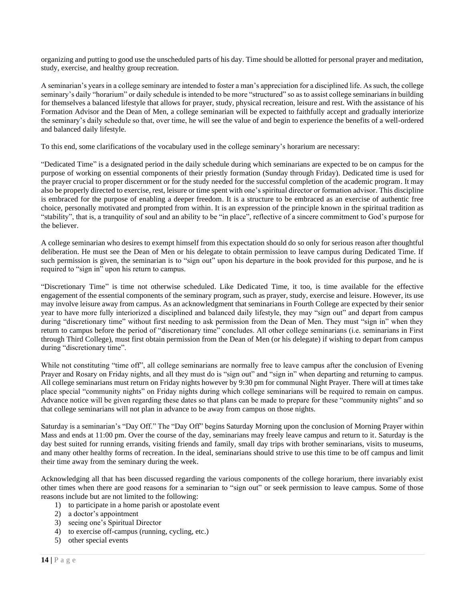organizing and putting to good use the unscheduled parts of his day. Time should be allotted for personal prayer and meditation, study, exercise, and healthy group recreation.

A seminarian's years in a college seminary are intended to foster a man's appreciation for a disciplined life. As such, the college seminary's daily "horarium" or daily schedule is intended to be more "structured" so as to assist college seminarians in building for themselves a balanced lifestyle that allows for prayer, study, physical recreation, leisure and rest. With the assistance of his Formation Advisor and the Dean of Men, a college seminarian will be expected to faithfully accept and gradually interiorize the seminary's daily schedule so that, over time, he will see the value of and begin to experience the benefits of a well-ordered and balanced daily lifestyle.

To this end, some clarifications of the vocabulary used in the college seminary's horarium are necessary:

"Dedicated Time" is a designated period in the daily schedule during which seminarians are expected to be on campus for the purpose of working on essential components of their priestly formation (Sunday through Friday). Dedicated time is used for the prayer crucial to proper discernment or for the study needed for the successful completion of the academic program. It may also be properly directed to exercise, rest, leisure or time spent with one's spiritual director or formation advisor. This discipline is embraced for the purpose of enabling a deeper freedom. It is a structure to be embraced as an exercise of authentic free choice, personally motivated and prompted from within. It is an expression of the principle known in the spiritual tradition as "stability", that is, a tranquility of soul and an ability to be "in place", reflective of a sincere commitment to God's purpose for the believer.

A college seminarian who desires to exempt himself from this expectation should do so only for serious reason after thoughtful deliberation. He must see the Dean of Men or his delegate to obtain permission to leave campus during Dedicated Time. If such permission is given, the seminarian is to "sign out" upon his departure in the book provided for this purpose, and he is required to "sign in" upon his return to campus.

"Discretionary Time" is time not otherwise scheduled. Like Dedicated Time, it too, is time available for the effective engagement of the essential components of the seminary program, such as prayer, study, exercise and leisure. However, its use may involve leisure away from campus. As an acknowledgment that seminarians in Fourth College are expected by their senior year to have more fully interiorized a disciplined and balanced daily lifestyle, they may "sign out" and depart from campus during "discretionary time" without first needing to ask permission from the Dean of Men. They must "sign in" when they return to campus before the period of "discretionary time" concludes. All other college seminarians (i.e. seminarians in First through Third College), must first obtain permission from the Dean of Men (or his delegate) if wishing to depart from campus during "discretionary time".

While not constituting "time off", all college seminarians are normally free to leave campus after the conclusion of Evening Prayer and Rosary on Friday nights, and all they must do is "sign out" and "sign in" when departing and returning to campus. All college seminarians must return on Friday nights however by 9:30 pm for communal Night Prayer. There will at times take place special "community nights" on Friday nights during which college seminarians will be required to remain on campus. Advance notice will be given regarding these dates so that plans can be made to prepare for these "community nights" and so that college seminarians will not plan in advance to be away from campus on those nights.

Saturday is a seminarian's "Day Off." The "Day Off" begins Saturday Morning upon the conclusion of Morning Prayer within Mass and ends at 11:00 pm. Over the course of the day, seminarians may freely leave campus and return to it. Saturday is the day best suited for running errands, visiting friends and family, small day trips with brother seminarians, visits to museums, and many other healthy forms of recreation. In the ideal, seminarians should strive to use this time to be off campus and limit their time away from the seminary during the week.

Acknowledging all that has been discussed regarding the various components of the college horarium, there invariably exist other times when there are good reasons for a seminarian to "sign out" or seek permission to leave campus. Some of those reasons include but are not limited to the following:

- 1) to participate in a home parish or apostolate event
- 2) a doctor's appointment
- 3) seeing one's Spiritual Director
- 4) to exercise off-campus (running, cycling, etc.)
- 5) other special events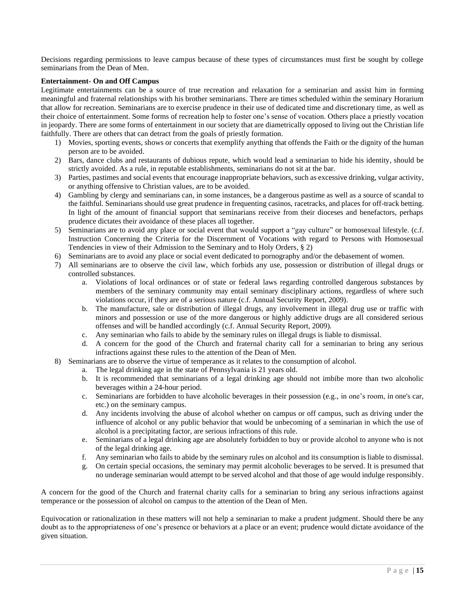Decisions regarding permissions to leave campus because of these types of circumstances must first be sought by college seminarians from the Dean of Men.

# <span id="page-14-0"></span>**Entertainment- On and Off Campus**

Legitimate entertainments can be a source of true recreation and relaxation for a seminarian and assist him in forming meaningful and fraternal relationships with his brother seminarians. There are times scheduled within the seminary Horarium that allow for recreation. Seminarians are to exercise prudence in their use of dedicated time and discretionary time, as well as their choice of entertainment. Some forms of recreation help to foster one's sense of vocation. Others place a priestly vocation in jeopardy. There are some forms of entertainment in our society that are diametrically opposed to living out the Christian life faithfully. There are others that can detract from the goals of priestly formation.

- 1) Movies, sporting events, shows or concerts that exemplify anything that offends the Faith or the dignity of the human person are to be avoided.
- 2) Bars, dance clubs and restaurants of dubious repute, which would lead a seminarian to hide his identity, should be strictly avoided. As a rule, in reputable establishments, seminarians do not sit at the bar.
- 3) Parties, pastimes and social events that encourage inappropriate behaviors, such as excessive drinking, vulgar activity, or anything offensive to Christian values, are to be avoided.
- 4) Gambling by clergy and seminarians can, in some instances, be a dangerous pastime as well as a source of scandal to the faithful. Seminarians should use great prudence in frequenting casinos, racetracks, and places for off-track betting. In light of the amount of financial support that seminarians receive from their dioceses and benefactors, perhaps prudence dictates their avoidance of these places all together.
- 5) Seminarians are to avoid any place or social event that would support a "gay culture" or homosexual lifestyle. (c.f. Instruction Concerning the Criteria for the Discernment of Vocations with regard to Persons with Homosexual Tendencies in view of their Admission to the Seminary and to Holy Orders, § 2)
- 6) Seminarians are to avoid any place or social event dedicated to pornography and/or the debasement of women.
- 7) All seminarians are to observe the civil law, which forbids any use, possession or distribution of illegal drugs or controlled substances.
	- a. Violations of local ordinances or of state or federal laws regarding controlled dangerous substances by members of the seminary community may entail seminary disciplinary actions, regardless of where such violations occur, if they are of a serious nature (c.f. Annual Security Report, 2009).
	- b. The manufacture, sale or distribution of illegal drugs, any involvement in illegal drug use or traffic with minors and possession or use of the more dangerous or highly addictive drugs are all considered serious offenses and will be handled accordingly (c.f. Annual Security Report, 2009).
	- c. Any seminarian who fails to abide by the seminary rules on illegal drugs is liable to dismissal.
	- d. A concern for the good of the Church and fraternal charity call for a seminarian to bring any serious infractions against these rules to the attention of the Dean of Men.
- 8) Seminarians are to observe the virtue of temperance as it relates to the consumption of alcohol.
	- a. The legal drinking age in the state of Pennsylvania is 21 years old.
		- b. It is recommended that seminarians of a legal drinking age should not imbibe more than two alcoholic beverages within a 24-hour period.
		- c. Seminarians are forbidden to have alcoholic beverages in their possession (e.g., in one's room, in one's car, etc.) on the seminary campus.
		- d. Any incidents involving the abuse of alcohol whether on campus or off campus, such as driving under the influence of alcohol or any public behavior that would be unbecoming of a seminarian in which the use of alcohol is a precipitating factor, are serious infractions of this rule.
		- e. Seminarians of a legal drinking age are absolutely forbidden to buy or provide alcohol to anyone who is not of the legal drinking age.
		- f. Any seminarian who fails to abide by the seminary rules on alcohol and its consumption is liable to dismissal.
		- g. On certain special occasions, the seminary may permit alcoholic beverages to be served. It is presumed that no underage seminarian would attempt to be served alcohol and that those of age would indulge responsibly.

A concern for the good of the Church and fraternal charity calls for a seminarian to bring any serious infractions against temperance or the possession of alcohol on campus to the attention of the Dean of Men.

Equivocation or rationalization in these matters will not help a seminarian to make a prudent judgment. Should there be any doubt as to the appropriateness of one's presence or behaviors at a place or an event; prudence would dictate avoidance of the given situation.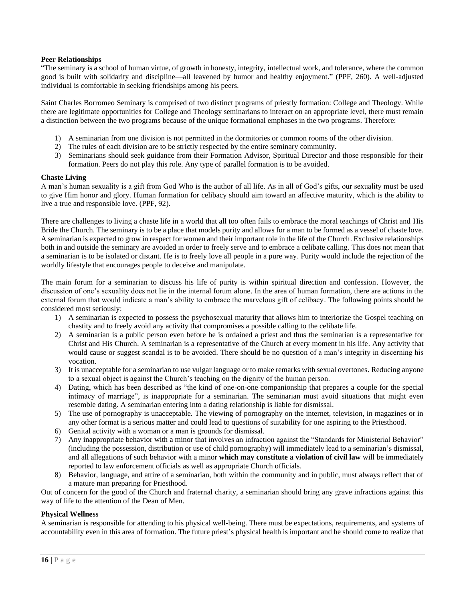# <span id="page-15-0"></span>**Peer Relationships**

"The seminary is a school of human virtue, of growth in honesty, integrity, intellectual work, and tolerance, where the common good is built with solidarity and discipline—all leavened by humor and healthy enjoyment." (PPF, 260). A well-adjusted individual is comfortable in seeking friendships among his peers.

Saint Charles Borromeo Seminary is comprised of two distinct programs of priestly formation: College and Theology. While there are legitimate opportunities for College and Theology seminarians to interact on an appropriate level, there must remain a distinction between the two programs because of the unique formational emphases in the two programs. Therefore:

- 1) A seminarian from one division is not permitted in the dormitories or common rooms of the other division.
- 2) The rules of each division are to be strictly respected by the entire seminary community.
- 3) Seminarians should seek guidance from their Formation Advisor, Spiritual Director and those responsible for their formation. Peers do not play this role. Any type of parallel formation is to be avoided.

#### <span id="page-15-1"></span>**Chaste Living**

A man's human sexuality is a gift from God Who is the author of all life. As in all of God's gifts, our sexuality must be used to give Him honor and glory. Human formation for celibacy should aim toward an affective maturity, which is the ability to live a true and responsible love. (PPF, 92).

There are challenges to living a chaste life in a world that all too often fails to embrace the moral teachings of Christ and His Bride the Church. The seminary is to be a place that models purity and allows for a man to be formed as a vessel of chaste love. A seminarian is expected to grow in respect for women and their important role in the life of the Church. Exclusive relationships both in and outside the seminary are avoided in order to freely serve and to embrace a celibate calling. This does not mean that a seminarian is to be isolated or distant. He is to freely love all people in a pure way. Purity would include the rejection of the worldly lifestyle that encourages people to deceive and manipulate.

The main forum for a seminarian to discuss his life of purity is within spiritual direction and confession. However, the discussion of one's sexuality does not lie in the internal forum alone. In the area of human formation, there are actions in the external forum that would indicate a man's ability to embrace the marvelous gift of celibacy. The following points should be considered most seriously:

- 1) A seminarian is expected to possess the psychosexual maturity that allows him to interiorize the Gospel teaching on chastity and to freely avoid any activity that compromises a possible calling to the celibate life.
- 2) A seminarian is a public person even before he is ordained a priest and thus the seminarian is a representative for Christ and His Church. A seminarian is a representative of the Church at every moment in his life. Any activity that would cause or suggest scandal is to be avoided. There should be no question of a man's integrity in discerning his vocation.
- 3) It is unacceptable for a seminarian to use vulgar language or to make remarks with sexual overtones. Reducing anyone to a sexual object is against the Church's teaching on the dignity of the human person.
- 4) Dating, which has been described as "the kind of one-on-one companionship that prepares a couple for the special intimacy of marriage", is inappropriate for a seminarian. The seminarian must avoid situations that might even resemble dating. A seminarian entering into a dating relationship is liable for dismissal.
- 5) The use of pornography is unacceptable. The viewing of pornography on the internet, television, in magazines or in any other format is a serious matter and could lead to questions of suitability for one aspiring to the Priesthood.
- 6) Genital activity with a woman or a man is grounds for dismissal.
- 7) Any inappropriate behavior with a minor that involves an infraction against the "Standards for Ministerial Behavior" (including the possession, distribution or use of child pornography) will immediately lead to a seminarian's dismissal, and all allegations of such behavior with a minor **which may constitute a violation of civil law** will be immediately reported to law enforcement officials as well as appropriate Church officials.
- 8) Behavior, language, and attire of a seminarian, both within the community and in public, must always reflect that of a mature man preparing for Priesthood.

Out of concern for the good of the Church and fraternal charity, a seminarian should bring any grave infractions against this way of life to the attention of the Dean of Men.

# <span id="page-15-2"></span>**Physical Wellness**

A seminarian is responsible for attending to his physical well-being. There must be expectations, requirements, and systems of accountability even in this area of formation. The future priest's physical health is important and he should come to realize that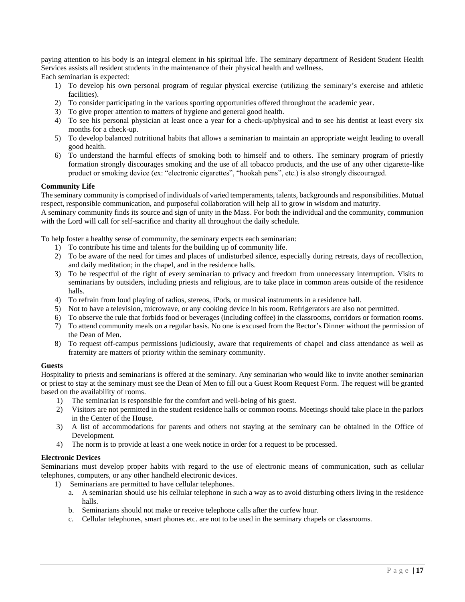paying attention to his body is an integral element in his spiritual life. The seminary department of Resident Student Health Services assists all resident students in the maintenance of their physical health and wellness. Each seminarian is expected:

- 1) To develop his own personal program of regular physical exercise (utilizing the seminary's exercise and athletic facilities).
- 2) To consider participating in the various sporting opportunities offered throughout the academic year.
- 3) To give proper attention to matters of hygiene and general good health.
- 4) To see his personal physician at least once a year for a check-up/physical and to see his dentist at least every six months for a check-up.
- 5) To develop balanced nutritional habits that allows a seminarian to maintain an appropriate weight leading to overall good health.
- 6) To understand the harmful effects of smoking both to himself and to others. The seminary program of priestly formation strongly discourages smoking and the use of all tobacco products, and the use of any other cigarette-like product or smoking device (ex: "electronic cigarettes", "hookah pens", etc.) is also strongly discouraged.

# <span id="page-16-0"></span>**Community Life**

The seminary community is comprised of individuals of varied temperaments, talents, backgrounds and responsibilities. Mutual respect, responsible communication, and purposeful collaboration will help all to grow in wisdom and maturity.

A seminary community finds its source and sign of unity in the Mass. For both the individual and the community, communion with the Lord will call for self-sacrifice and charity all throughout the daily schedule.

To help foster a healthy sense of community, the seminary expects each seminarian:

- 1) To contribute his time and talents for the building up of community life.
- 2) To be aware of the need for times and places of undisturbed silence, especially during retreats, days of recollection, and daily meditation; in the chapel, and in the residence halls.
- 3) To be respectful of the right of every seminarian to privacy and freedom from unnecessary interruption. Visits to seminarians by outsiders, including priests and religious, are to take place in common areas outside of the residence halls.
- 4) To refrain from loud playing of radios, stereos, iPods, or musical instruments in a residence hall.
- 5) Not to have a television, microwave, or any cooking device in his room. Refrigerators are also not permitted.
- 6) To observe the rule that forbids food or beverages (including coffee) in the classrooms, corridors or formation rooms.
- 7) To attend community meals on a regular basis. No one is excused from the Rector's Dinner without the permission of the Dean of Men.
- 8) To request off-campus permissions judiciously, aware that requirements of chapel and class attendance as well as fraternity are matters of priority within the seminary community.

#### <span id="page-16-1"></span>**Guests**

Hospitality to priests and seminarians is offered at the seminary. Any seminarian who would like to invite another seminarian or priest to stay at the seminary must see the Dean of Men to fill out a Guest Room Request Form. The request will be granted based on the availability of rooms.

- 1) The seminarian is responsible for the comfort and well-being of his guest.
- 2) Visitors are not permitted in the student residence halls or common rooms. Meetings should take place in the parlors in the Center of the House.
- 3) A list of accommodations for parents and others not staying at the seminary can be obtained in the Office of Development.
- 4) The norm is to provide at least a one week notice in order for a request to be processed.

# <span id="page-16-2"></span>**Electronic Devices**

Seminarians must develop proper habits with regard to the use of electronic means of communication, such as cellular telephones, computers, or any other handheld electronic devices.

- 1) Seminarians are permitted to have cellular telephones.
	- a. A seminarian should use his cellular telephone in such a way as to avoid disturbing others living in the residence halls.
	- b. Seminarians should not make or receive telephone calls after the curfew hour.
	- c. Cellular telephones, smart phones etc. are not to be used in the seminary chapels or classrooms.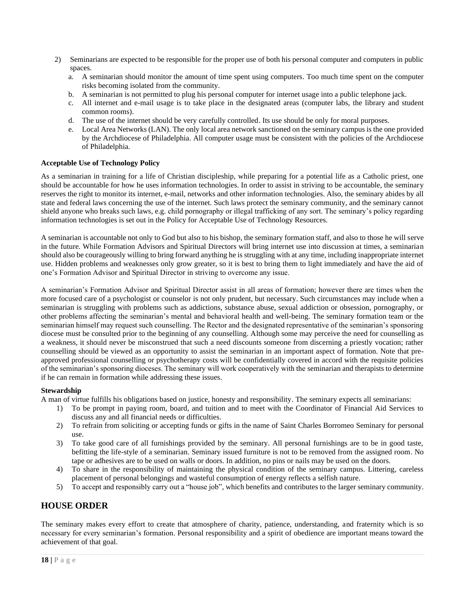- 2) Seminarians are expected to be responsible for the proper use of both his personal computer and computers in public spaces.
	- a. A seminarian should monitor the amount of time spent using computers. Too much time spent on the computer risks becoming isolated from the community.
	- b. A seminarian is not permitted to plug his personal computer for internet usage into a public telephone jack.
	- c. All internet and e-mail usage is to take place in the designated areas (computer labs, the library and student common rooms).
	- d. The use of the internet should be very carefully controlled. Its use should be only for moral purposes.
	- e. Local Area Networks (LAN). The only local area network sanctioned on the seminary campus is the one provided by the Archdiocese of Philadelphia. All computer usage must be consistent with the policies of the Archdiocese of Philadelphia.

# <span id="page-17-0"></span>**Acceptable Use of Technology Policy**

As a seminarian in training for a life of Christian discipleship, while preparing for a potential life as a Catholic priest, one should be accountable for how he uses information technologies. In order to assist in striving to be accountable, the seminary reserves the right to monitor its internet, e-mail, networks and other information technologies. Also, the seminary abides by all state and federal laws concerning the use of the internet. Such laws protect the seminary community, and the seminary cannot shield anyone who breaks such laws, e.g. child pornography or illegal trafficking of any sort. The seminary's policy regarding information technologies is set out in the Policy for Acceptable Use of Technology Resources.

A seminarian is accountable not only to God but also to his bishop, the seminary formation staff, and also to those he will serve in the future. While Formation Advisors and Spiritual Directors will bring internet use into discussion at times, a seminarian should also be courageously willing to bring forward anything he is struggling with at any time, including inappropriate internet use. Hidden problems and weaknesses only grow greater, so it is best to bring them to light immediately and have the aid of one's Formation Advisor and Spiritual Director in striving to overcome any issue.

A seminarian's Formation Advisor and Spiritual Director assist in all areas of formation; however there are times when the more focused care of a psychologist or counselor is not only prudent, but necessary. Such circumstances may include when a seminarian is struggling with problems such as addictions, substance abuse, sexual addiction or obsession, pornography, or other problems affecting the seminarian's mental and behavioral health and well-being. The seminary formation team or the seminarian himself may request such counselling. The Rector and the designated representative of the seminarian's sponsoring diocese must be consulted prior to the beginning of any counselling. Although some may perceive the need for counselling as a weakness, it should never be misconstrued that such a need discounts someone from discerning a priestly vocation; rather counselling should be viewed as an opportunity to assist the seminarian in an important aspect of formation. Note that preapproved professional counselling or psychotherapy costs will be confidentially covered in accord with the requisite policies of the seminarian's sponsoring dioceses. The seminary will work cooperatively with the seminarian and therapists to determine if he can remain in formation while addressing these issues.

# <span id="page-17-1"></span>**Stewardship**

A man of virtue fulfills his obligations based on justice, honesty and responsibility. The seminary expects all seminarians:

- 1) To be prompt in paying room, board, and tuition and to meet with the Coordinator of Financial Aid Services to discuss any and all financial needs or difficulties.
- 2) To refrain from soliciting or accepting funds or gifts in the name of Saint Charles Borromeo Seminary for personal use.
- 3) To take good care of all furnishings provided by the seminary. All personal furnishings are to be in good taste, befitting the life-style of a seminarian. Seminary issued furniture is not to be removed from the assigned room. No tape or adhesives are to be used on walls or doors. In addition, no pins or nails may be used on the doors.
- 4) To share in the responsibility of maintaining the physical condition of the seminary campus. Littering, careless placement of personal belongings and wasteful consumption of energy reflects a selfish nature.
- 5) To accept and responsibly carry out a "house job", which benefits and contributes to the larger seminary community.

# <span id="page-17-2"></span>**HOUSE ORDER**

The seminary makes every effort to create that atmosphere of charity, patience, understanding, and fraternity which is so necessary for every seminarian's formation. Personal responsibility and a spirit of obedience are important means toward the achievement of that goal.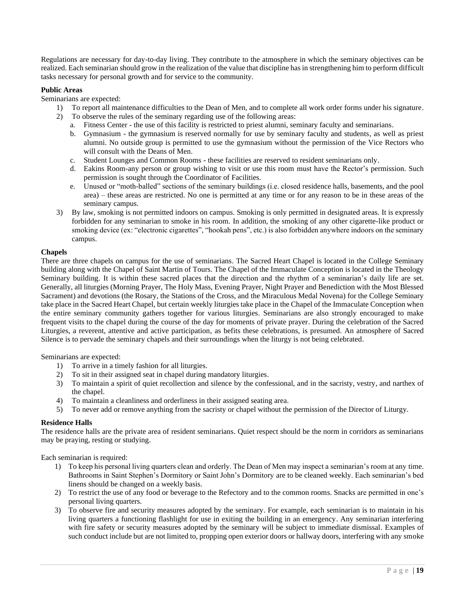Regulations are necessary for day-to-day living. They contribute to the atmosphere in which the seminary objectives can be realized. Each seminarian should grow in the realization of the value that discipline has in strengthening him to perform difficult tasks necessary for personal growth and for service to the community.

# <span id="page-18-0"></span>**Public Areas**

Seminarians are expected:

- 1) To report all maintenance difficulties to the Dean of Men, and to complete all work order forms under his signature.
- 2) To observe the rules of the seminary regarding use of the following areas:
	- a. Fitness Center the use of this facility is restricted to priest alumni, seminary faculty and seminarians.
	- b. Gymnasium the gymnasium is reserved normally for use by seminary faculty and students, as well as priest alumni. No outside group is permitted to use the gymnasium without the permission of the Vice Rectors who will consult with the Deans of Men.
	- c. Student Lounges and Common Rooms these facilities are reserved to resident seminarians only.
	- d. Eakins Room-any person or group wishing to visit or use this room must have the Rector's permission. Such permission is sought through the Coordinator of Facilities.
	- e. Unused or "moth-balled" sections of the seminary buildings (i.e. closed residence halls, basements, and the pool area) – these areas are restricted. No one is permitted at any time or for any reason to be in these areas of the seminary campus.
- 3) By law, smoking is not permitted indoors on campus. Smoking is only permitted in designated areas. It is expressly forbidden for any seminarian to smoke in his room. In addition, the smoking of any other cigarette-like product or smoking device (ex: "electronic cigarettes", "hookah pens", etc.) is also forbidden anywhere indoors on the seminary campus.

# <span id="page-18-1"></span>**Chapels**

There are three chapels on campus for the use of seminarians. The Sacred Heart Chapel is located in the College Seminary building along with the Chapel of Saint Martin of Tours. The Chapel of the Immaculate Conception is located in the Theology Seminary building. It is within these sacred places that the direction and the rhythm of a seminarian's daily life are set. Generally, all liturgies (Morning Prayer, The Holy Mass, Evening Prayer, Night Prayer and Benediction with the Most Blessed Sacrament) and devotions (the Rosary, the Stations of the Cross, and the Miraculous Medal Novena) for the College Seminary take place in the Sacred Heart Chapel, but certain weekly liturgies take place in the Chapel of the Immaculate Conception when the entire seminary community gathers together for various liturgies. Seminarians are also strongly encouraged to make frequent visits to the chapel during the course of the day for moments of private prayer. During the celebration of the Sacred Liturgies, a reverent, attentive and active participation, as befits these celebrations, is presumed. An atmosphere of Sacred Silence is to pervade the seminary chapels and their surroundings when the liturgy is not being celebrated.

#### Seminarians are expected:

- 1) To arrive in a timely fashion for all liturgies.
- 2) To sit in their assigned seat in chapel during mandatory liturgies.
- 3) To maintain a spirit of quiet recollection and silence by the confessional, and in the sacristy, vestry, and narthex of the chapel.
- 4) To maintain a cleanliness and orderliness in their assigned seating area.
- 5) To never add or remove anything from the sacristy or chapel without the permission of the Director of Liturgy.

#### <span id="page-18-2"></span>**Residence Halls**

The residence halls are the private area of resident seminarians. Quiet respect should be the norm in corridors as seminarians may be praying, resting or studying.

Each seminarian is required:

- 1) To keep his personal living quarters clean and orderly. The Dean of Men may inspect a seminarian's room at any time. Bathrooms in Saint Stephen's Dormitory or Saint John's Dormitory are to be cleaned weekly. Each seminarian's bed linens should be changed on a weekly basis.
- 2) To restrict the use of any food or beverage to the Refectory and to the common rooms. Snacks are permitted in one's personal living quarters.
- 3) To observe fire and security measures adopted by the seminary. For example, each seminarian is to maintain in his living quarters a functioning flashlight for use in exiting the building in an emergency. Any seminarian interfering with fire safety or security measures adopted by the seminary will be subject to immediate dismissal. Examples of such conduct include but are not limited to, propping open exterior doors or hallway doors, interfering with any smoke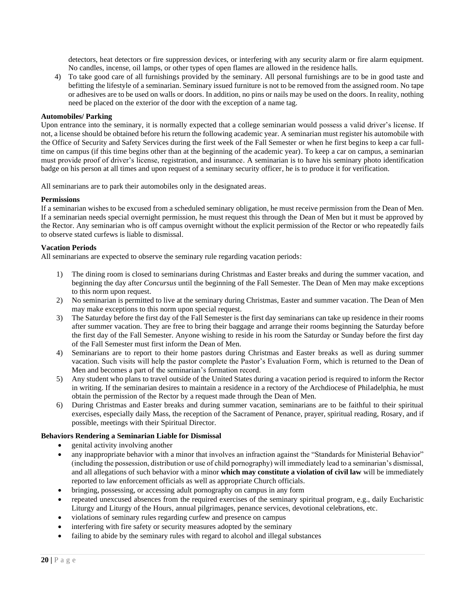detectors, heat detectors or fire suppression devices, or interfering with any security alarm or fire alarm equipment. No candles, incense, oil lamps, or other types of open flames are allowed in the residence halls.

4) To take good care of all furnishings provided by the seminary. All personal furnishings are to be in good taste and befitting the lifestyle of a seminarian. Seminary issued furniture is not to be removed from the assigned room. No tape or adhesives are to be used on walls or doors. In addition, no pins or nails may be used on the doors. In reality, nothing need be placed on the exterior of the door with the exception of a name tag.

# <span id="page-19-0"></span>**Automobiles/ Parking**

Upon entrance into the seminary, it is normally expected that a college seminarian would possess a valid driver's license. If not, a license should be obtained before his return the following academic year. A seminarian must register his automobile with the Office of Security and Safety Services during the first week of the Fall Semester or when he first begins to keep a car fulltime on campus (if this time begins other than at the beginning of the academic year). To keep a car on campus, a seminarian must provide proof of driver's license, registration, and insurance. A seminarian is to have his seminary photo identification badge on his person at all times and upon request of a seminary security officer, he is to produce it for verification.

All seminarians are to park their automobiles only in the designated areas.

# <span id="page-19-1"></span>**Permissions**

If a seminarian wishes to be excused from a scheduled seminary obligation, he must receive permission from the Dean of Men. If a seminarian needs special overnight permission, he must request this through the Dean of Men but it must be approved by the Rector. Any seminarian who is off campus overnight without the explicit permission of the Rector or who repeatedly fails to observe stated curfews is liable to dismissal.

#### <span id="page-19-2"></span>**Vacation Periods**

All seminarians are expected to observe the seminary rule regarding vacation periods:

- 1) The dining room is closed to seminarians during Christmas and Easter breaks and during the summer vacation, and beginning the day after *Concursus* until the beginning of the Fall Semester. The Dean of Men may make exceptions to this norm upon request.
- 2) No seminarian is permitted to live at the seminary during Christmas, Easter and summer vacation. The Dean of Men may make exceptions to this norm upon special request.
- 3) The Saturday before the first day of the Fall Semester is the first day seminarians can take up residence in their rooms after summer vacation. They are free to bring their baggage and arrange their rooms beginning the Saturday before the first day of the Fall Semester. Anyone wishing to reside in his room the Saturday or Sunday before the first day of the Fall Semester must first inform the Dean of Men.
- 4) Seminarians are to report to their home pastors during Christmas and Easter breaks as well as during summer vacation. Such visits will help the pastor complete the Pastor's Evaluation Form, which is returned to the Dean of Men and becomes a part of the seminarian's formation record.
- 5) Any student who plans to travel outside of the United States during a vacation period is required to inform the Rector in writing. If the seminarian desires to maintain a residence in a rectory of the Archdiocese of Philadelphia, he must obtain the permission of the Rector by a request made through the Dean of Men.
- 6) During Christmas and Easter breaks and during summer vacation, seminarians are to be faithful to their spiritual exercises, especially daily Mass, the reception of the Sacrament of Penance, prayer, spiritual reading, Rosary, and if possible, meetings with their Spiritual Director.

#### <span id="page-19-3"></span>**Behaviors Rendering a Seminarian Liable for Dismissal**

- genital activity involving another
- any inappropriate behavior with a minor that involves an infraction against the "Standards for Ministerial Behavior" (including the possession, distribution or use of child pornography) will immediately lead to a seminarian's dismissal, and all allegations of such behavior with a minor **which may constitute a violation of civil law** will be immediately reported to law enforcement officials as well as appropriate Church officials.
- bringing, possessing, or accessing adult pornography on campus in any form
- repeated unexcused absences from the required exercises of the seminary spiritual program, e.g., daily Eucharistic Liturgy and Liturgy of the Hours, annual pilgrimages, penance services, devotional celebrations, etc.
- violations of seminary rules regarding curfew and presence on campus
- interfering with fire safety or security measures adopted by the seminary
- failing to abide by the seminary rules with regard to alcohol and illegal substances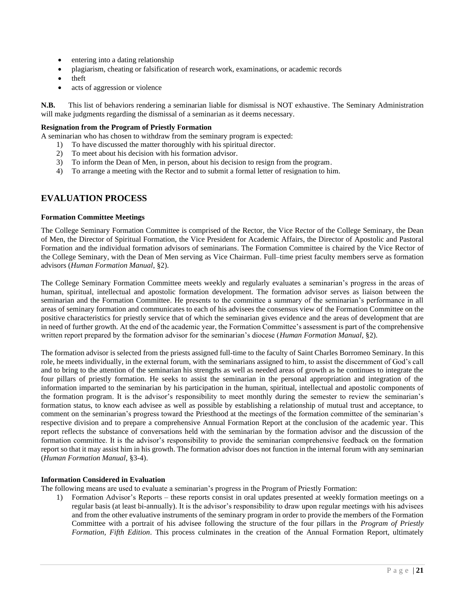- entering into a dating relationship
- plagiarism, cheating or falsification of research work, examinations, or academic records
- theft
- acts of aggression or violence

**N.B.** This list of behaviors rendering a seminarian liable for dismissal is NOT exhaustive. The Seminary Administration will make judgments regarding the dismissal of a seminarian as it deems necessary.

# <span id="page-20-0"></span>**Resignation from the Program of Priestly Formation**

A seminarian who has chosen to withdraw from the seminary program is expected:

- 1) To have discussed the matter thoroughly with his spiritual director.
	- 2) To meet about his decision with his formation advisor.
	- 3) To inform the Dean of Men, in person, about his decision to resign from the program.
	- 4) To arrange a meeting with the Rector and to submit a formal letter of resignation to him.

# <span id="page-20-1"></span>**EVALUATION PROCESS**

# <span id="page-20-2"></span>**Formation Committee Meetings**

The College Seminary Formation Committee is comprised of the Rector, the Vice Rector of the College Seminary, the Dean of Men, the Director of Spiritual Formation, the Vice President for Academic Affairs, the Director of Apostolic and Pastoral Formation and the individual formation advisors of seminarians. The Formation Committee is chaired by the Vice Rector of the College Seminary, with the Dean of Men serving as Vice Chairman. Full–time priest faculty members serve as formation advisors (*Human Formation Manual*, §2).

The College Seminary Formation Committee meets weekly and regularly evaluates a seminarian's progress in the areas of human, spiritual, intellectual and apostolic formation development. The formation advisor serves as liaison between the seminarian and the Formation Committee. He presents to the committee a summary of the seminarian's performance in all areas of seminary formation and communicates to each of his advisees the consensus view of the Formation Committee on the positive characteristics for priestly service that of which the seminarian gives evidence and the areas of development that are in need of further growth. At the end of the academic year, the Formation Committee's assessment is part of the comprehensive written report prepared by the formation advisor for the seminarian's diocese (*Human Formation Manual*, §2).

The formation advisor is selected from the priests assigned full-time to the faculty of Saint Charles Borromeo Seminary. In this role, he meets individually, in the external forum, with the seminarians assigned to him, to assist the discernment of God's call and to bring to the attention of the seminarian his strengths as well as needed areas of growth as he continues to integrate the four pillars of priestly formation. He seeks to assist the seminarian in the personal appropriation and integration of the information imparted to the seminarian by his participation in the human, spiritual, intellectual and apostolic components of the formation program. It is the advisor's responsibility to meet monthly during the semester to review the seminarian's formation status, to know each advisee as well as possible by establishing a relationship of mutual trust and acceptance, to comment on the seminarian's progress toward the Priesthood at the meetings of the formation committee of the seminarian's respective division and to prepare a comprehensive Annual Formation Report at the conclusion of the academic year. This report reflects the substance of conversations held with the seminarian by the formation advisor and the discussion of the formation committee. It is the advisor's responsibility to provide the seminarian comprehensive feedback on the formation report so that it may assist him in his growth. The formation advisor does not function in the internal forum with any seminarian (*Human Formation Manual*, §3-4).

#### <span id="page-20-3"></span>**Information Considered in Evaluation**

The following means are used to evaluate a seminarian's progress in the Program of Priestly Formation:

1) Formation Advisor's Reports – these reports consist in oral updates presented at weekly formation meetings on a regular basis (at least bi-annually). It is the advisor's responsibility to draw upon regular meetings with his advisees and from the other evaluative instruments of the seminary program in order to provide the members of the Formation Committee with a portrait of his advisee following the structure of the four pillars in the *Program of Priestly Formation, Fifth Edition*. This process culminates in the creation of the Annual Formation Report, ultimately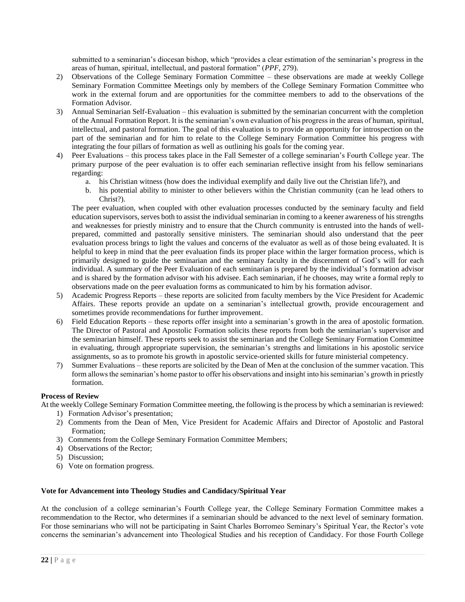submitted to a seminarian's diocesan bishop, which "provides a clear estimation of the seminarian's progress in the areas of human, spiritual, intellectual, and pastoral formation" (*PPF*, 279).

- 2) Observations of the College Seminary Formation Committee these observations are made at weekly College Seminary Formation Committee Meetings only by members of the College Seminary Formation Committee who work in the external forum and are opportunities for the committee members to add to the observations of the Formation Advisor.
- 3) Annual Seminarian Self-Evaluation this evaluation is submitted by the seminarian concurrent with the completion of the Annual Formation Report. It is the seminarian's own evaluation of his progress in the areas of human, spiritual, intellectual, and pastoral formation. The goal of this evaluation is to provide an opportunity for introspection on the part of the seminarian and for him to relate to the College Seminary Formation Committee his progress with integrating the four pillars of formation as well as outlining his goals for the coming year.
- 4) Peer Evaluations this process takes place in the Fall Semester of a college seminarian's Fourth College year. The primary purpose of the peer evaluation is to offer each seminarian reflective insight from his fellow seminarians regarding:
	- a. his Christian witness (how does the individual exemplify and daily live out the Christian life?), and
	- b. his potential ability to minister to other believers within the Christian community (can he lead others to Christ?).

The peer evaluation, when coupled with other evaluation processes conducted by the seminary faculty and field education supervisors, serves both to assist the individual seminarian in coming to a keener awareness of his strengths and weaknesses for priestly ministry and to ensure that the Church community is entrusted into the hands of wellprepared, committed and pastorally sensitive ministers. The seminarian should also understand that the peer evaluation process brings to light the values and concerns of the evaluator as well as of those being evaluated. It is helpful to keep in mind that the peer evaluation finds its proper place within the larger formation process, which is primarily designed to guide the seminarian and the seminary faculty in the discernment of God's will for each individual. A summary of the Peer Evaluation of each seminarian is prepared by the individual's formation advisor and is shared by the formation advisor with his advisee. Each seminarian, if he chooses, may write a formal reply to observations made on the peer evaluation forms as communicated to him by his formation advisor.

- 5) Academic Progress Reports these reports are solicited from faculty members by the Vice President for Academic Affairs. These reports provide an update on a seminarian's intellectual growth, provide encouragement and sometimes provide recommendations for further improvement.
- 6) Field Education Reports these reports offer insight into a seminarian's growth in the area of apostolic formation. The Director of Pastoral and Apostolic Formation solicits these reports from both the seminarian's supervisor and the seminarian himself. These reports seek to assist the seminarian and the College Seminary Formation Committee in evaluating, through appropriate supervision, the seminarian's strengths and limitations in his apostolic service assignments, so as to promote his growth in apostolic service-oriented skills for future ministerial competency.
- 7) Summer Evaluations these reports are solicited by the Dean of Men at the conclusion of the summer vacation. This form allows the seminarian's home pastor to offer his observations and insight into his seminarian's growth in priestly formation.

# <span id="page-21-0"></span>**Process of Review**

At the weekly College Seminary Formation Committee meeting, the following is the process by which a seminarian is reviewed:

- 1) Formation Advisor's presentation;
- 2) Comments from the Dean of Men, Vice President for Academic Affairs and Director of Apostolic and Pastoral Formation;
- 3) Comments from the College Seminary Formation Committee Members;
- 4) Observations of the Rector;
- 5) Discussion;
- 6) Vote on formation progress.

# <span id="page-21-1"></span>**Vote for Advancement into Theology Studies and Candidacy/Spiritual Year**

At the conclusion of a college seminarian's Fourth College year, the College Seminary Formation Committee makes a recommendation to the Rector, who determines if a seminarian should be advanced to the next level of seminary formation. For those seminarians who will not be participating in Saint Charles Borromeo Seminary's Spiritual Year, the Rector's vote concerns the seminarian's advancement into Theological Studies and his reception of Candidacy. For those Fourth College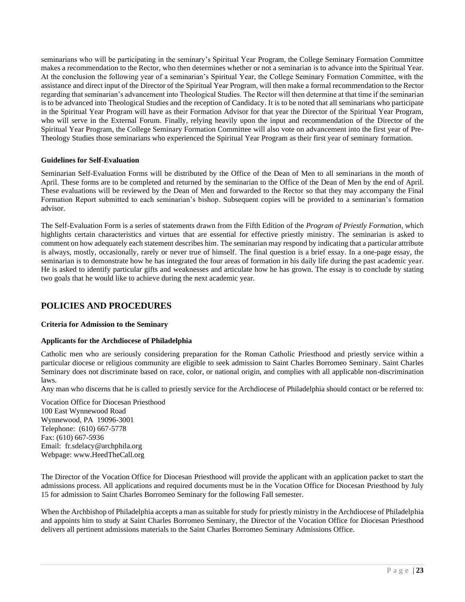seminarians who will be participating in the seminary's Spiritual Year Program, the College Seminary Formation Committee makes a recommendation to the Rector, who then determines whether or not a seminarian is to advance into the Spiritual Year. At the conclusion the following year of a seminarian's Spiritual Year, the College Seminary Formation Committee, with the assistance and direct input of the Director of the Spiritual Year Program, will then make a formal recommendation to the Rector regarding that seminarian's advancement into Theological Studies. The Rector will then determine at that time if the seminarian is to be advanced into Theological Studies and the reception of Candidacy. It is to be noted that all seminarians who participate in the Spiritual Year Program will have as their Formation Advisor for that year the Director of the Spiritual Year Program, who will serve in the External Forum. Finally, relying heavily upon the input and recommendation of the Director of the Spiritual Year Program, the College Seminary Formation Committee will also vote on advancement into the first year of Pre-Theology Studies those seminarians who experienced the Spiritual Year Program as their first year of seminary formation.

# <span id="page-22-0"></span>**Guidelines for Self-Evaluation**

Seminarian Self-Evaluation Forms will be distributed by the Office of the Dean of Men to all seminarians in the month of April. These forms are to be completed and returned by the seminarian to the Office of the Dean of Men by the end of April. These evaluations will be reviewed by the Dean of Men and forwarded to the Rector so that they may accompany the Final Formation Report submitted to each seminarian's bishop. Subsequent copies will be provided to a seminarian's formation advisor.

The Self-Evaluation Form is a series of statements drawn from the Fifth Edition of the *Program of Priestly Formation*, which highlights certain characteristics and virtues that are essential for effective priestly ministry. The seminarian is asked to comment on how adequately each statement describes him. The seminarian may respond by indicating that a particular attribute is always, mostly, occasionally, rarely or never true of himself. The final question is a brief essay. In a one-page essay, the seminarian is to demonstrate how he has integrated the four areas of formation in his daily life during the past academic year. He is asked to identify particular gifts and weaknesses and articulate how he has grown. The essay is to conclude by stating two goals that he would like to achieve during the next academic year.

# <span id="page-22-1"></span>**POLICIES AND PROCEDURES**

#### <span id="page-22-2"></span>**Criteria for Admission to the Seminary**

# **Applicants for the Archdiocese of Philadelphia**

Catholic men who are seriously considering preparation for the Roman Catholic Priesthood and priestly service within a particular diocese or religious community are eligible to seek admission to Saint Charles Borromeo Seminary. Saint Charles Seminary does not discriminate based on race, color, or national origin, and complies with all applicable non-discrimination laws.

Any man who discerns that he is called to priestly service for the Archdiocese of Philadelphia should contact or be referred to:

Vocation Office for Diocesan Priesthood 100 East Wynnewood Road Wynnewood, PA 19096-3001 Telephone: (610) 667-5778 Fax: (610) 667-5936 Email: fr.sdelacy@archphila.org Webpage: www.HeedTheCall.org

The Director of the Vocation Office for Diocesan Priesthood will provide the applicant with an application packet to start the admissions process. All applications and required documents must be in the Vocation Office for Diocesan Priesthood by July 15 for admission to Saint Charles Borromeo Seminary for the following Fall semester.

When the Archbishop of Philadelphia accepts a man as suitable for study for priestly ministry in the Archdiocese of Philadelphia and appoints him to study at Saint Charles Borromeo Seminary, the Director of the Vocation Office for Diocesan Priesthood delivers all pertinent admissions materials to the Saint Charles Borromeo Seminary Admissions Office.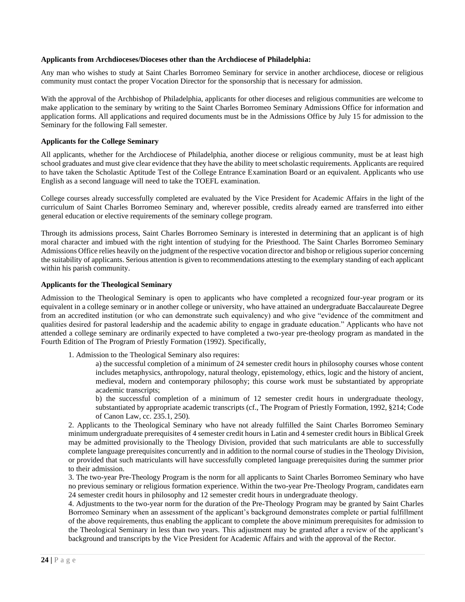#### **Applicants from Archdioceses/Dioceses other than the Archdiocese of Philadelphia:**

Any man who wishes to study at Saint Charles Borromeo Seminary for service in another archdiocese, diocese or religious community must contact the proper Vocation Director for the sponsorship that is necessary for admission.

With the approval of the Archbishop of Philadelphia, applicants for other dioceses and religious communities are welcome to make application to the seminary by writing to the Saint Charles Borromeo Seminary Admissions Office for information and application forms. All applications and required documents must be in the Admissions Office by July 15 for admission to the Seminary for the following Fall semester.

# **Applicants for the College Seminary**

All applicants, whether for the Archdiocese of Philadelphia, another diocese or religious community, must be at least high school graduates and must give clear evidence that they have the ability to meet scholastic requirements. Applicants are required to have taken the Scholastic Aptitude Test of the College Entrance Examination Board or an equivalent. Applicants who use English as a second language will need to take the TOEFL examination.

College courses already successfully completed are evaluated by the Vice President for Academic Affairs in the light of the curriculum of Saint Charles Borromeo Seminary and, wherever possible, credits already earned are transferred into either general education or elective requirements of the seminary college program.

Through its admissions process, Saint Charles Borromeo Seminary is interested in determining that an applicant is of high moral character and imbued with the right intention of studying for the Priesthood. The Saint Charles Borromeo Seminary Admissions Office relies heavily on the judgment of the respective vocation director and bishop or religious superior concerning the suitability of applicants. Serious attention is given to recommendations attesting to the exemplary standing of each applicant within his parish community.

# **Applicants for the Theological Seminary**

Admission to the Theological Seminary is open to applicants who have completed a recognized four-year program or its equivalent in a college seminary or in another college or university, who have attained an undergraduate Baccalaureate Degree from an accredited institution (or who can demonstrate such equivalency) and who give "evidence of the commitment and qualities desired for pastoral leadership and the academic ability to engage in graduate education." Applicants who have not attended a college seminary are ordinarily expected to have completed a two-year pre-theology program as mandated in the Fourth Edition of The Program of Priestly Formation (1992). Specifically,

1. Admission to the Theological Seminary also requires:

a) the successful completion of a minimum of 24 semester credit hours in philosophy courses whose content includes metaphysics, anthropology, natural theology, epistemology, ethics, logic and the history of ancient, medieval, modern and contemporary philosophy; this course work must be substantiated by appropriate academic transcripts;

b) the successful completion of a minimum of 12 semester credit hours in undergraduate theology, substantiated by appropriate academic transcripts (cf., The Program of Priestly Formation, 1992, §214; Code of Canon Law, cc. 235.1, 250).

2. Applicants to the Theological Seminary who have not already fulfilled the Saint Charles Borromeo Seminary minimum undergraduate prerequisites of 4 semester credit hours in Latin and 4 semester credit hours in Biblical Greek may be admitted provisionally to the Theology Division, provided that such matriculants are able to successfully complete language prerequisites concurrently and in addition to the normal course of studies in the Theology Division, or provided that such matriculants will have successfully completed language prerequisites during the summer prior to their admission.

3. The two-year Pre-Theology Program is the norm for all applicants to Saint Charles Borromeo Seminary who have no previous seminary or religious formation experience. Within the two-year Pre-Theology Program, candidates earn 24 semester credit hours in philosophy and 12 semester credit hours in undergraduate theology.

4. Adjustments to the two-year norm for the duration of the Pre-Theology Program may be granted by Saint Charles Borromeo Seminary when an assessment of the applicant's background demonstrates complete or partial fulfillment of the above requirements, thus enabling the applicant to complete the above minimum prerequisites for admission to the Theological Seminary in less than two years. This adjustment may be granted after a review of the applicant's background and transcripts by the Vice President for Academic Affairs and with the approval of the Rector.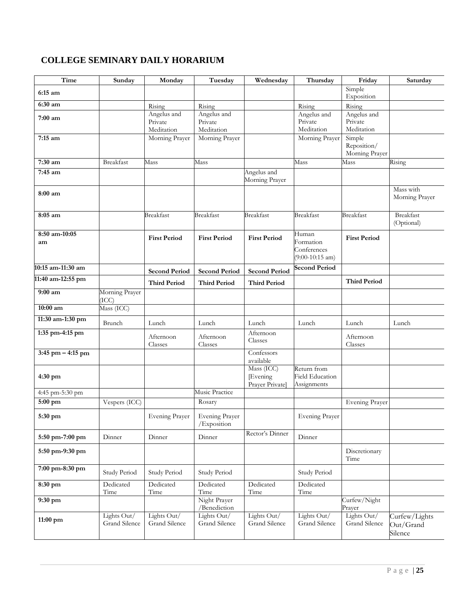# <span id="page-24-0"></span>**COLLEGE SEMINARY DAILY HORARIUM**

| <b>Time</b>          | Sunday                       | Monday                               | Tuesday                              | Wednesday                                | Thursday                                               | Friday                                  | Saturday                              |
|----------------------|------------------------------|--------------------------------------|--------------------------------------|------------------------------------------|--------------------------------------------------------|-----------------------------------------|---------------------------------------|
| 6:15 am              |                              |                                      |                                      |                                          |                                                        | Simple<br>Exposition                    |                                       |
| 6:30 am              |                              | Rising                               | Rising                               |                                          | Rising                                                 | Rising                                  |                                       |
| $7:00$ am            |                              | Angelus and<br>Private<br>Meditation | Angelus and<br>Private<br>Meditation |                                          | Angelus and<br>Private<br>Meditation                   | Angelus and<br>Private<br>Meditation    |                                       |
| 7:15 am              |                              | Morning Prayer                       | Morning Prayer                       |                                          | Morning Prayer                                         | Simple<br>Reposition/<br>Morning Prayer |                                       |
| 7:30 am              | Breakfast                    | Mass                                 | Mass                                 |                                          | Mass                                                   | Mass                                    | Rising                                |
| 7:45 am              |                              |                                      |                                      | Angelus and<br>Morning Prayer            |                                                        |                                         |                                       |
| 8:00 am              |                              |                                      |                                      |                                          |                                                        |                                         | Mass with<br>Morning Prayer           |
| 8:05 am              |                              | <b>Breakfast</b>                     | <b>Breakfast</b>                     | <b>Breakfast</b>                         | <b>Breakfast</b>                                       | <b>Breakfast</b>                        | Breakfast<br>(Optional)               |
| 8:50 am-10:05<br>am  |                              | <b>First Period</b>                  | <b>First Period</b>                  | <b>First Period</b>                      | Human<br>Formation<br>Conferences<br>$(9:00-10:15 am)$ | <b>First Period</b>                     |                                       |
| 10:15 am-11:30 am    |                              | <b>Second Period</b>                 | <b>Second Period</b>                 | <b>Second Period</b>                     | <b>Second Period</b>                                   |                                         |                                       |
| 11:40 am-12:55 pm    |                              | <b>Third Period</b>                  | <b>Third Period</b>                  | <b>Third Period</b>                      |                                                        | <b>Third Period</b>                     |                                       |
| 9:00 am              | Morning Prayer<br>(ICC)      |                                      |                                      |                                          |                                                        |                                         |                                       |
| 10:00 am             | Mass (ICC)                   |                                      |                                      |                                          |                                                        |                                         |                                       |
| 11:30 am-1:30 pm     | Brunch                       | Lunch                                | Lunch                                | Lunch                                    | Lunch                                                  | Lunch                                   | Lunch                                 |
| 1:35 pm-4:15 pm      |                              | Afternoon<br>Classes                 | Afternoon<br>Classes                 | Afternoon<br>Classes                     |                                                        | Afternoon<br>Classes                    |                                       |
| $3:45$ pm $-4:15$ pm |                              |                                      |                                      | Confessors<br>available                  |                                                        |                                         |                                       |
| 4:30 pm              |                              |                                      |                                      | Mass (ICC)<br>Evening<br>Prayer Private] | Return from<br><b>Field Education</b><br>Assignments   |                                         |                                       |
| 4:45 pm-5:30 pm      |                              |                                      | Music Practice                       |                                          |                                                        |                                         |                                       |
| 5:00 pm              | Vespers $(\overline{ICC})$   |                                      | Rosary                               |                                          |                                                        | Evening Prayer                          |                                       |
| 5:30 pm              |                              | Evening Prayer                       | Evening Prayer<br>/Exposition        |                                          | Evening Prayer                                         |                                         |                                       |
| 5:50 pm-7:00 pm      | Dinner                       | Dinner                               | Dinner                               | Rector's Dinner                          | Dinner                                                 |                                         |                                       |
| 5:50 pm-9:30 pm      |                              |                                      |                                      |                                          |                                                        | Discretionary<br>Time                   |                                       |
| 7:00 pm-8:30 pm      | Study Period                 | Study Period                         | Study Period                         |                                          | Study Period                                           |                                         |                                       |
| 8:30 pm              | Dedicated<br>Time            | Dedicated<br>Time                    | Dedicated<br>Time                    | Dedicated<br>Time                        | Dedicated<br>Time                                      |                                         |                                       |
| 9:30 pm              |                              |                                      | Night Prayer<br>/Benediction         |                                          |                                                        | Curfew/Night<br>Prayer                  |                                       |
| 11:00 pm             | Lights Out/<br>Grand Silence | Lights Out/<br>Grand Silence         | Lights Out/<br>Grand Silence         | Lights Out/<br>Grand Silence             | Lights Out/<br>Grand Silence                           | Lights Out/<br>Grand Silence            | Curfew/Lights<br>Out/Grand<br>Silence |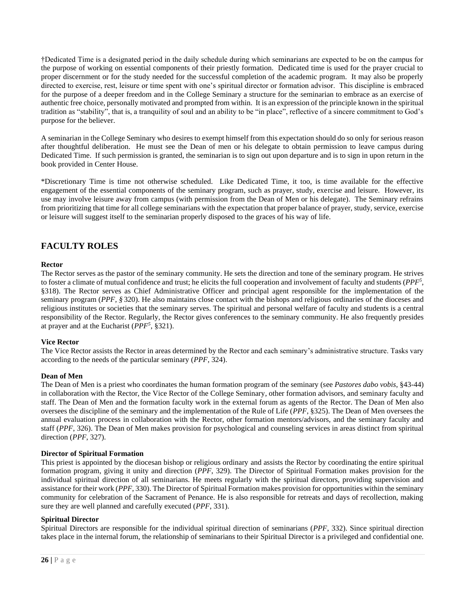†Dedicated Time is a designated period in the daily schedule during which seminarians are expected to be on the campus for the purpose of working on essential components of their priestly formation. Dedicated time is used for the prayer crucial to proper discernment or for the study needed for the successful completion of the academic program. It may also be properly directed to exercise, rest, leisure or time spent with one's spiritual director or formation advisor. This discipline is embraced for the purpose of a deeper freedom and in the College Seminary a structure for the seminarian to embrace as an exercise of authentic free choice, personally motivated and prompted from within. It is an expression of the principle known in the spiritual tradition as "stability", that is, a tranquility of soul and an ability to be "in place", reflective of a sincere commitment to God's purpose for the believer.

A seminarian in the College Seminary who desires to exempt himself from this expectation should do so only for serious reason after thoughtful deliberation. He must see the Dean of men or his delegate to obtain permission to leave campus during Dedicated Time. If such permission is granted, the seminarian is to sign out upon departure and is to sign in upon return in the book provided in Center House.

\*Discretionary Time is time not otherwise scheduled. Like Dedicated Time, it too, is time available for the effective engagement of the essential components of the seminary program, such as prayer, study, exercise and leisure. However, its use may involve leisure away from campus (with permission from the Dean of Men or his delegate). The Seminary refrains from prioritizing that time for all college seminarians with the expectation that proper balance of prayer, study, service, exercise or leisure will suggest itself to the seminarian properly disposed to the graces of his way of life.

# <span id="page-25-0"></span>**FACULTY ROLES**

# <span id="page-25-1"></span>**Rector**

The Rector serves as the pastor of the seminary community. He sets the direction and tone of the seminary program. He strives to foster a climate of mutual confidence and trust; he elicits the full cooperation and involvement of faculty and students (*PPF<sup>5</sup>* , §318). The Rector serves as Chief Administrative Officer and principal agent responsible for the implementation of the seminary program (*PPF, §* 320). He also maintains close contact with the bishops and religious ordinaries of the dioceses and religious institutes or societies that the seminary serves. The spiritual and personal welfare of faculty and students is a central responsibility of the Rector. Regularly, the Rector gives conferences to the seminary community. He also frequently presides at prayer and at the Eucharist (*PPF<sup>5</sup>* , §321).

# <span id="page-25-2"></span>**Vice Rector**

The Vice Rector assists the Rector in areas determined by the Rector and each seminary's administrative structure. Tasks vary according to the needs of the particular seminary (*PPF*, 324).

# <span id="page-25-3"></span>**Dean of Men**

The Dean of Men is a priest who coordinates the human formation program of the seminary (see *Pastores dabo vobis*, §43-44) in collaboration with the Rector, the Vice Rector of the College Seminary, other formation advisors, and seminary faculty and staff. The Dean of Men and the formation faculty work in the external forum as agents of the Rector. The Dean of Men also oversees the discipline of the seminary and the implementation of the Rule of Life (*PPF*, §325). The Dean of Men oversees the annual evaluation process in collaboration with the Rector, other formation mentors/advisors, and the seminary faculty and staff (*PPF*, 326). The Dean of Men makes provision for psychological and counseling services in areas distinct from spiritual direction (*PPF*, 327).

#### <span id="page-25-4"></span>**Director of Spiritual Formation**

This priest is appointed by the diocesan bishop or religious ordinary and assists the Rector by coordinating the entire spiritual formation program, giving it unity and direction (*PPF*, 329). The Director of Spiritual Formation makes provision for the individual spiritual direction of all seminarians. He meets regularly with the spiritual directors, providing supervision and assistance for their work (*PPF*, 330). The Director of Spiritual Formation makes provision for opportunities within the seminary community for celebration of the Sacrament of Penance. He is also responsible for retreats and days of recollection, making sure they are well planned and carefully executed (*PPF*, 331).

# <span id="page-25-5"></span>**Spiritual Director**

Spiritual Directors are responsible for the individual spiritual direction of seminarians (*PPF*, 332). Since spiritual direction takes place in the internal forum, the relationship of seminarians to their Spiritual Director is a privileged and confidential one.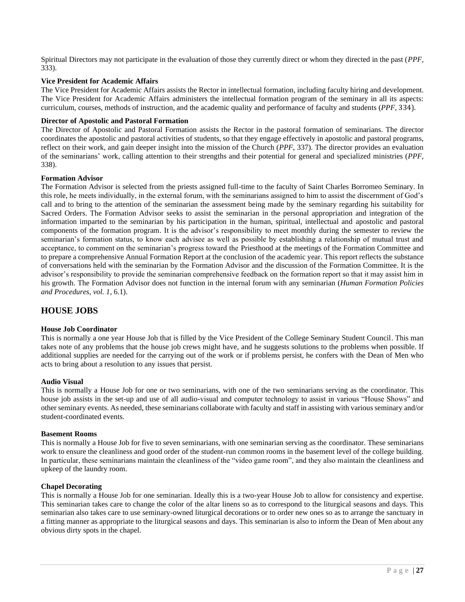Spiritual Directors may not participate in the evaluation of those they currently direct or whom they directed in the past (*PPF,* 333).

# <span id="page-26-0"></span>**Vice President for Academic Affairs**

The Vice President for Academic Affairs assists the Rector in intellectual formation, including faculty hiring and development. The Vice President for Academic Affairs administers the intellectual formation program of the seminary in all its aspects: curriculum, courses, methods of instruction, and the academic quality and performance of faculty and students (*PPF*, 334).

# <span id="page-26-1"></span>**Director of Apostolic and Pastoral Formation**

The Director of Apostolic and Pastoral Formation assists the Rector in the pastoral formation of seminarians. The director coordinates the apostolic and pastoral activities of students, so that they engage effectively in apostolic and pastoral programs, reflect on their work, and gain deeper insight into the mission of the Church (*PPF*, 337). The director provides an evaluation of the seminarians' work, calling attention to their strengths and their potential for general and specialized ministries (*PPF*, 338).

#### <span id="page-26-2"></span>**Formation Advisor**

The Formation Advisor is selected from the priests assigned full-time to the faculty of Saint Charles Borromeo Seminary. In this role, he meets individually, in the external forum, with the seminarians assigned to him to assist the discernment of God's call and to bring to the attention of the seminarian the assessment being made by the seminary regarding his suitability for Sacred Orders. The Formation Advisor seeks to assist the seminarian in the personal appropriation and integration of the information imparted to the seminarian by his participation in the human, spiritual, intellectual and apostolic and pastoral components of the formation program. It is the advisor's responsibility to meet monthly during the semester to review the seminarian's formation status, to know each advisee as well as possible by establishing a relationship of mutual trust and acceptance, to comment on the seminarian's progress toward the Priesthood at the meetings of the Formation Committee and to prepare a comprehensive Annual Formation Report at the conclusion of the academic year. This report reflects the substance of conversations held with the seminarian by the Formation Advisor and the discussion of the Formation Committee. It is the advisor's responsibility to provide the seminarian comprehensive feedback on the formation report so that it may assist him in his growth. The Formation Advisor does not function in the internal forum with any seminarian (*Human Formation Policies and Procedures, vol. 1*, 6.1).

# <span id="page-26-3"></span>**HOUSE JOBS**

#### **House Job Coordinator**

This is normally a one year House Job that is filled by the Vice President of the College Seminary Student Council. This man takes note of any problems that the house job crews might have, and he suggests solutions to the problems when possible. If additional supplies are needed for the carrying out of the work or if problems persist, he confers with the Dean of Men who acts to bring about a resolution to any issues that persist.

#### **Audio Visual**

This is normally a House Job for one or two seminarians, with one of the two seminarians serving as the coordinator. This house job assists in the set-up and use of all audio-visual and computer technology to assist in various "House Shows" and other seminary events. As needed, these seminarians collaborate with faculty and staff in assisting with various seminary and/or student-coordinated events.

#### **Basement Rooms**

This is normally a House Job for five to seven seminarians, with one seminarian serving as the coordinator. These seminarians work to ensure the cleanliness and good order of the student-run common rooms in the basement level of the college building. In particular, these seminarians maintain the cleanliness of the "video game room", and they also maintain the cleanliness and upkeep of the laundry room.

#### **Chapel Decorating**

This is normally a House Job for one seminarian. Ideally this is a two-year House Job to allow for consistency and expertise. This seminarian takes care to change the color of the altar linens so as to correspond to the liturgical seasons and days. This seminarian also takes care to use seminary-owned liturgical decorations or to order new ones so as to arrange the sanctuary in a fitting manner as appropriate to the liturgical seasons and days. This seminarian is also to inform the Dean of Men about any obvious dirty spots in the chapel.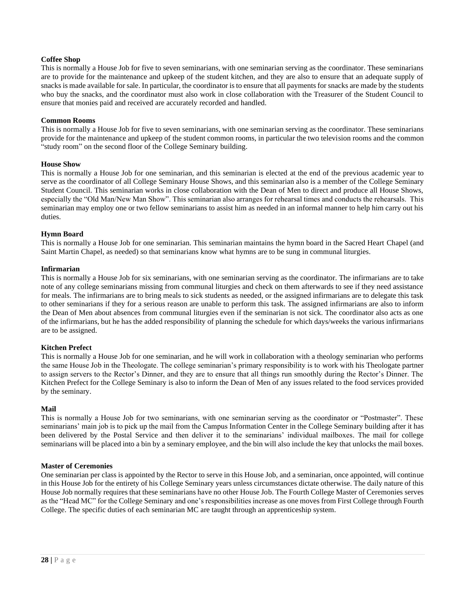# **Coffee Shop**

This is normally a House Job for five to seven seminarians, with one seminarian serving as the coordinator. These seminarians are to provide for the maintenance and upkeep of the student kitchen, and they are also to ensure that an adequate supply of snacks is made available for sale. In particular, the coordinator is to ensure that all payments for snacks are made by the students who buy the snacks, and the coordinator must also work in close collaboration with the Treasurer of the Student Council to ensure that monies paid and received are accurately recorded and handled.

# **Common Rooms**

This is normally a House Job for five to seven seminarians, with one seminarian serving as the coordinator. These seminarians provide for the maintenance and upkeep of the student common rooms, in particular the two television rooms and the common "study room" on the second floor of the College Seminary building.

# **House Show**

This is normally a House Job for one seminarian, and this seminarian is elected at the end of the previous academic year to serve as the coordinator of all College Seminary House Shows, and this seminarian also is a member of the College Seminary Student Council. This seminarian works in close collaboration with the Dean of Men to direct and produce all House Shows, especially the "Old Man/New Man Show". This seminarian also arranges for rehearsal times and conducts the rehearsals. This seminarian may employ one or two fellow seminarians to assist him as needed in an informal manner to help him carry out his duties.

# **Hymn Board**

This is normally a House Job for one seminarian. This seminarian maintains the hymn board in the Sacred Heart Chapel (and Saint Martin Chapel, as needed) so that seminarians know what hymns are to be sung in communal liturgies.

# **Infirmarian**

This is normally a House Job for six seminarians, with one seminarian serving as the coordinator. The infirmarians are to take note of any college seminarians missing from communal liturgies and check on them afterwards to see if they need assistance for meals. The infirmarians are to bring meals to sick students as needed, or the assigned infirmarians are to delegate this task to other seminarians if they for a serious reason are unable to perform this task. The assigned infirmarians are also to inform the Dean of Men about absences from communal liturgies even if the seminarian is not sick. The coordinator also acts as one of the infirmarians, but he has the added responsibility of planning the schedule for which days/weeks the various infirmarians are to be assigned.

#### **Kitchen Prefect**

This is normally a House Job for one seminarian, and he will work in collaboration with a theology seminarian who performs the same House Job in the Theologate. The college seminarian's primary responsibility is to work with his Theologate partner to assign servers to the Rector's Dinner, and they are to ensure that all things run smoothly during the Rector's Dinner. The Kitchen Prefect for the College Seminary is also to inform the Dean of Men of any issues related to the food services provided by the seminary.

#### **Mail**

This is normally a House Job for two seminarians, with one seminarian serving as the coordinator or "Postmaster". These seminarians' main job is to pick up the mail from the Campus Information Center in the College Seminary building after it has been delivered by the Postal Service and then deliver it to the seminarians' individual mailboxes. The mail for college seminarians will be placed into a bin by a seminary employee, and the bin will also include the key that unlocks the mail boxes.

#### **Master of Ceremonies**

One seminarian per class is appointed by the Rector to serve in this House Job, and a seminarian, once appointed, will continue in this House Job for the entirety of his College Seminary years unless circumstances dictate otherwise. The daily nature of this House Job normally requires that these seminarians have no other House Job. The Fourth College Master of Ceremonies serves as the "Head MC" for the College Seminary and one's responsibilities increase as one moves from First College through Fourth College. The specific duties of each seminarian MC are taught through an apprenticeship system.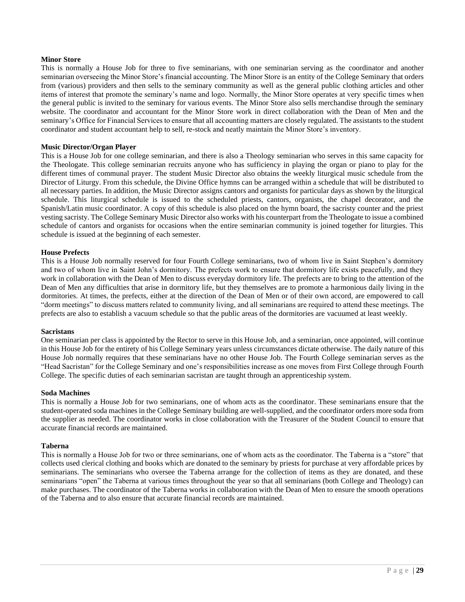#### **Minor Store**

This is normally a House Job for three to five seminarians, with one seminarian serving as the coordinator and another seminarian overseeing the Minor Store's financial accounting. The Minor Store is an entity of the College Seminary that orders from (various) providers and then sells to the seminary community as well as the general public clothing articles and other items of interest that promote the seminary's name and logo. Normally, the Minor Store operates at very specific times when the general public is invited to the seminary for various events. The Minor Store also sells merchandise through the seminary website. The coordinator and accountant for the Minor Store work in direct collaboration with the Dean of Men and the seminary's Office for Financial Services to ensure that all accounting matters are closely regulated. The assistants to the student coordinator and student accountant help to sell, re-stock and neatly maintain the Minor Store's inventory.

#### **Music Director/Organ Player**

This is a House Job for one college seminarian, and there is also a Theology seminarian who serves in this same capacity for the Theologate. This college seminarian recruits anyone who has sufficiency in playing the organ or piano to play for the different times of communal prayer. The student Music Director also obtains the weekly liturgical music schedule from the Director of Liturgy. From this schedule, the Divine Office hymns can be arranged within a schedule that will be distributed to all necessary parties. In addition, the Music Director assigns cantors and organists for particular days as shown by the liturgical schedule. This liturgical schedule is issued to the scheduled priests, cantors, organists, the chapel decorator, and the Spanish/Latin music coordinator. A copy of this schedule is also placed on the hymn board, the sacristy counter and the priest vesting sacristy. The College Seminary Music Director also works with his counterpart from the Theologate to issue a combined schedule of cantors and organists for occasions when the entire seminarian community is joined together for liturgies. This schedule is issued at the beginning of each semester.

#### **House Prefects**

This is a House Job normally reserved for four Fourth College seminarians, two of whom live in Saint Stephen's dormitory and two of whom live in Saint John's dormitory. The prefects work to ensure that dormitory life exists peacefully, and they work in collaboration with the Dean of Men to discuss everyday dormitory life. The prefects are to bring to the attention of the Dean of Men any difficulties that arise in dormitory life, but they themselves are to promote a harmonious daily living in the dormitories. At times, the prefects, either at the direction of the Dean of Men or of their own accord, are empowered to call "dorm meetings" to discuss matters related to community living, and all seminarians are required to attend these meetings. The prefects are also to establish a vacuum schedule so that the public areas of the dormitories are vacuumed at least weekly.

#### **Sacristans**

One seminarian per class is appointed by the Rector to serve in this House Job, and a seminarian, once appointed, will continue in this House Job for the entirety of his College Seminary years unless circumstances dictate otherwise. The daily nature of this House Job normally requires that these seminarians have no other House Job. The Fourth College seminarian serves as the "Head Sacristan" for the College Seminary and one's responsibilities increase as one moves from First College through Fourth College. The specific duties of each seminarian sacristan are taught through an apprenticeship system.

#### **Soda Machines**

This is normally a House Job for two seminarians, one of whom acts as the coordinator. These seminarians ensure that the student-operated soda machines in the College Seminary building are well-supplied, and the coordinator orders more soda from the supplier as needed. The coordinator works in close collaboration with the Treasurer of the Student Council to ensure that accurate financial records are maintained.

#### **Taberna**

This is normally a House Job for two or three seminarians, one of whom acts as the coordinator. The Taberna is a "store" that collects used clerical clothing and books which are donated to the seminary by priests for purchase at very affordable prices by seminarians. The seminarians who oversee the Taberna arrange for the collection of items as they are donated, and these seminarians "open" the Taberna at various times throughout the year so that all seminarians (both College and Theology) can make purchases. The coordinator of the Taberna works in collaboration with the Dean of Men to ensure the smooth operations of the Taberna and to also ensure that accurate financial records are maintained.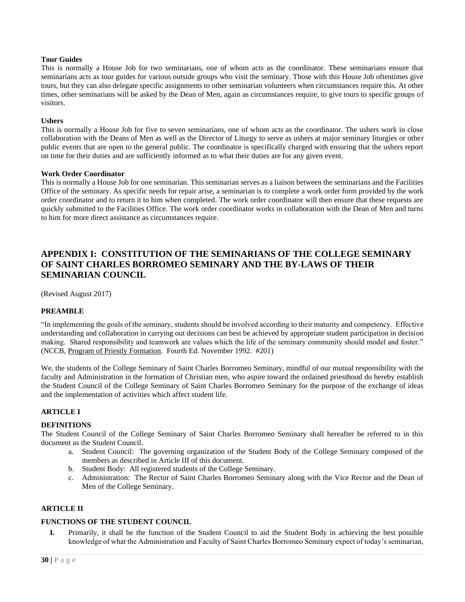# **Tour Guides**

This is normally a House Job for two seminarians, one of whom acts as the coordinator. These seminarians ensure that seminarians acts as tour guides for various outside groups who visit the seminary. Those with this House Job oftentimes give tours, but they can also delegate specific assignments to other seminarian volunteers when circumstances require this. At other times, other seminarians will be asked by the Dean of Men, again as circumstances require, to give tours to specific groups of visitors.

# **Ushers**

This is normally a House Job for five to seven seminarians, one of whom acts as the coordinator. The ushers work in close collaboration with the Deans of Men as well as the Director of Liturgy to serve as ushers at major seminary liturgies or other public events that are open to the general public. The coordinator is specifically charged with ensuring that the ushers report on time for their duties and are sufficiently informed as to what their duties are for any given event.

# **Work Order Coordinator**

This is normally a House Job for one seminarian. This seminarian serves as a liaison between the seminarians and the Facilities Office of the seminary. As specific needs for repair arise, a seminarian is to complete a work order form provided by the work order coordinator and to return it to him when completed. The work order coordinator will then ensure that these requests are quickly submitted to the Facilities Office. The work order coordinator works in collaboration with the Dean of Men and turns to him for more direct assistance as circumstances require.

# <span id="page-29-0"></span>**APPENDIX I: CONSTITUTION OF THE SEMINARIANS OF THE COLLEGE SEMINARY OF SAINT CHARLES BORROMEO SEMINARY AND THE BY-LAWS OF THEIR SEMINARIAN COUNCIL**

(Revised August 2017)

# **PREAMBLE**

"In implementing the goals of the seminary, students should be involved according to their maturity and competency. Effective understanding and collaboration in carrying out decisions can best be achieved by appropriate student participation in decision making. Shared responsibility and teamwork are values which the life of the seminary community should model and foster." (NCCB, Program of Priestly Formation. Fourth Ed. November 1992. #201)

We, the students of the College Seminary of Saint Charles Borromeo Seminary, mindful of our mutual responsibility with the faculty and Administration in the formation of Christian men, who aspire toward the ordained priesthood do hereby establish the Student Council of the College Seminary of Saint Charles Borromeo Seminary for the purpose of the exchange of ideas and the implementation of activities which affect student life.

# **ARTICLE I**

# **DEFINITIONS**

The Student Council of the College Seminary of Saint Charles Borromeo Seminary shall hereafter be referred to in this document as the Student Council.

- a. Student Council: The governing organization of the Student Body of the College Seminary composed of the members as described in Article III of this document.
- b. Student Body: All registered students of the College Seminary.
- c. Administration: The Rector of Saint Charles Borromeo Seminary along with the Vice Rector and the Dean of Men of the College Seminary.

# **ARTICLE II**

# **FUNCTIONS OF THE STUDENT COUNCIL**

**I.** Primarily, it shall be the function of the Student Council to aid the Student Body in achieving the best possible knowledge of what the Administration and Faculty of Saint Charles Borromeo Seminary expect of today's seminarian,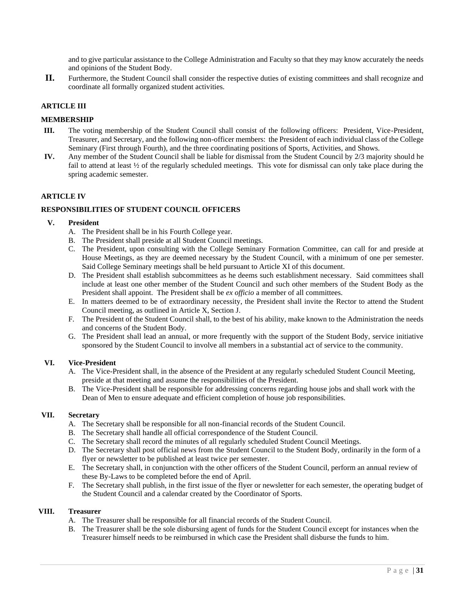and to give particular assistance to the College Administration and Faculty so that they may know accurately the needs and opinions of the Student Body.

**II.** Furthermore, the Student Council shall consider the respective duties of existing committees and shall recognize and coordinate all formally organized student activities.

# **ARTICLE III**

# **MEMBERSHIP**

- **III.** The voting membership of the Student Council shall consist of the following officers: President, Vice-President, Treasurer, and Secretary, and the following non-officer members: the President of each individual class of the College Seminary (First through Fourth), and the three coordinating positions of Sports, Activities, and Shows.
- **IV.** Any member of the Student Council shall be liable for dismissal from the Student Council by 2/3 majority should he fail to attend at least  $\frac{1}{2}$  of the regularly scheduled meetings. This vote for dismissal can only take place during the spring academic semester.

# **ARTICLE IV**

# **RESPONSIBILITIES OF STUDENT COUNCIL OFFICERS**

# **V. President**

- A. The President shall be in his Fourth College year.
- B. The President shall preside at all Student Council meetings.
- C. The President, upon consulting with the College Seminary Formation Committee, can call for and preside at House Meetings, as they are deemed necessary by the Student Council, with a minimum of one per semester. Said College Seminary meetings shall be held pursuant to Article XI of this document.
- D. The President shall establish subcommittees as he deems such establishment necessary. Said committees shall include at least one other member of the Student Council and such other members of the Student Body as the President shall appoint. The President shall be *ex officio* a member of all committees.
- E. In matters deemed to be of extraordinary necessity, the President shall invite the Rector to attend the Student Council meeting, as outlined in Article X, Section J.
- F. The President of the Student Council shall, to the best of his ability, make known to the Administration the needs and concerns of the Student Body.
- G. The President shall lead an annual, or more frequently with the support of the Student Body, service initiative sponsored by the Student Council to involve all members in a substantial act of service to the community.

#### **VI. Vice-President**

- A. The Vice-President shall, in the absence of the President at any regularly scheduled Student Council Meeting, preside at that meeting and assume the responsibilities of the President.
- B. The Vice-President shall be responsible for addressing concerns regarding house jobs and shall work with the Dean of Men to ensure adequate and efficient completion of house job responsibilities.

#### **VII. Secretary**

- A. The Secretary shall be responsible for all non-financial records of the Student Council.
- B. The Secretary shall handle all official correspondence of the Student Council.
- C. The Secretary shall record the minutes of all regularly scheduled Student Council Meetings.
- D. The Secretary shall post official news from the Student Council to the Student Body, ordinarily in the form of a flyer or newsletter to be published at least twice per semester.
- E. The Secretary shall, in conjunction with the other officers of the Student Council, perform an annual review of these By-Laws to be completed before the end of April.
- F. The Secretary shall publish, in the first issue of the flyer or newsletter for each semester, the operating budget of the Student Council and a calendar created by the Coordinator of Sports.

# **VIII. Treasurer**

- A. The Treasurer shall be responsible for all financial records of the Student Council.
- B. The Treasurer shall be the sole disbursing agent of funds for the Student Council except for instances when the Treasurer himself needs to be reimbursed in which case the President shall disburse the funds to him.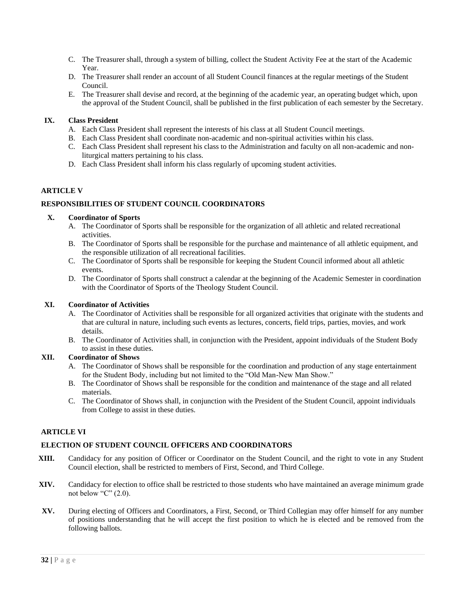- C. The Treasurer shall, through a system of billing, collect the Student Activity Fee at the start of the Academic Year.
- D. The Treasurer shall render an account of all Student Council finances at the regular meetings of the Student Council.
- E. The Treasurer shall devise and record, at the beginning of the academic year, an operating budget which, upon the approval of the Student Council, shall be published in the first publication of each semester by the Secretary.

# **IX. Class President**

- A. Each Class President shall represent the interests of his class at all Student Council meetings.
- B. Each Class President shall coordinate non-academic and non-spiritual activities within his class.
- C. Each Class President shall represent his class to the Administration and faculty on all non-academic and nonliturgical matters pertaining to his class.
- D. Each Class President shall inform his class regularly of upcoming student activities.

# **ARTICLE V**

# **RESPONSIBILITIES OF STUDENT COUNCIL COORDINATORS**

# **X. Coordinator of Sports**

- A. The Coordinator of Sports shall be responsible for the organization of all athletic and related recreational activities.
- B. The Coordinator of Sports shall be responsible for the purchase and maintenance of all athletic equipment, and the responsible utilization of all recreational facilities.
- C. The Coordinator of Sports shall be responsible for keeping the Student Council informed about all athletic events.
- D. The Coordinator of Sports shall construct a calendar at the beginning of the Academic Semester in coordination with the Coordinator of Sports of the Theology Student Council.

# **XI. Coordinator of Activities**

- A. The Coordinator of Activities shall be responsible for all organized activities that originate with the students and that are cultural in nature, including such events as lectures, concerts, field trips, parties, movies, and work details.
- B. The Coordinator of Activities shall, in conjunction with the President, appoint individuals of the Student Body to assist in these duties.

# **XII. Coordinator of Shows**

- A. The Coordinator of Shows shall be responsible for the coordination and production of any stage entertainment for the Student Body, including but not limited to the "Old Man-New Man Show."
- B. The Coordinator of Shows shall be responsible for the condition and maintenance of the stage and all related materials.
- C. The Coordinator of Shows shall, in conjunction with the President of the Student Council, appoint individuals from College to assist in these duties.

# **ARTICLE VI**

# **ELECTION OF STUDENT COUNCIL OFFICERS AND COORDINATORS**

- **XIII.** Candidacy for any position of Officer or Coordinator on the Student Council, and the right to vote in any Student Council election, shall be restricted to members of First, Second, and Third College.
- **XIV.** Candidacy for election to office shall be restricted to those students who have maintained an average minimum grade not below "C" (2.0).
- **XV.** During electing of Officers and Coordinators, a First, Second, or Third Collegian may offer himself for any number of positions understanding that he will accept the first position to which he is elected and be removed from the following ballots.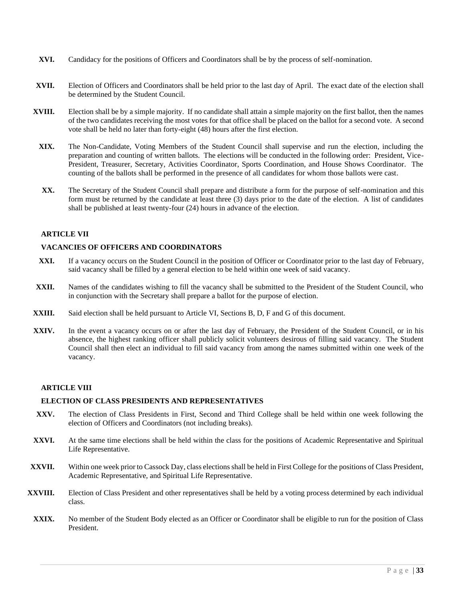- **XVI.** Candidacy for the positions of Officers and Coordinators shall be by the process of self-nomination.
- **XVII.** Election of Officers and Coordinators shall be held prior to the last day of April. The exact date of the election shall be determined by the Student Council.
- **XVIII.** Election shall be by a simple majority. If no candidate shall attain a simple majority on the first ballot, then the names of the two candidates receiving the most votes for that office shall be placed on the ballot for a second vote. A second vote shall be held no later than forty-eight (48) hours after the first election.
	- **XIX.** The Non-Candidate, Voting Members of the Student Council shall supervise and run the election, including the preparation and counting of written ballots. The elections will be conducted in the following order: President, Vice-President, Treasurer, Secretary, Activities Coordinator, Sports Coordination, and House Shows Coordinator. The counting of the ballots shall be performed in the presence of all candidates for whom those ballots were cast.
	- **XX.** The Secretary of the Student Council shall prepare and distribute a form for the purpose of self-nomination and this form must be returned by the candidate at least three (3) days prior to the date of the election. A list of candidates shall be published at least twenty-four (24) hours in advance of the election.

# **ARTICLE VII**

# **VACANCIES OF OFFICERS AND COORDINATORS**

- **XXI.** If a vacancy occurs on the Student Council in the position of Officer or Coordinator prior to the last day of February, said vacancy shall be filled by a general election to be held within one week of said vacancy.
- **XXII.** Names of the candidates wishing to fill the vacancy shall be submitted to the President of the Student Council, who in conjunction with the Secretary shall prepare a ballot for the purpose of election.
- **XXIII.** Said election shall be held pursuant to Article VI, Sections B, D, F and G of this document.
- **XXIV.** In the event a vacancy occurs on or after the last day of February, the President of the Student Council, or in his absence, the highest ranking officer shall publicly solicit volunteers desirous of filling said vacancy. The Student Council shall then elect an individual to fill said vacancy from among the names submitted within one week of the vacancy.

# **ARTICLE VIII**

# **ELECTION OF CLASS PRESIDENTS AND REPRESENTATIVES**

- **XXV.** The election of Class Presidents in First, Second and Third College shall be held within one week following the election of Officers and Coordinators (not including breaks).
- **XXVI.** At the same time elections shall be held within the class for the positions of Academic Representative and Spiritual Life Representative.
- **XXVII.** Within one week prior to Cassock Day, class elections shall be held in First College for the positions of Class President, Academic Representative, and Spiritual Life Representative.
- **XXVIII.** Election of Class President and other representatives shall be held by a voting process determined by each individual class.
	- XXIX. No member of the Student Body elected as an Officer or Coordinator shall be eligible to run for the position of Class President.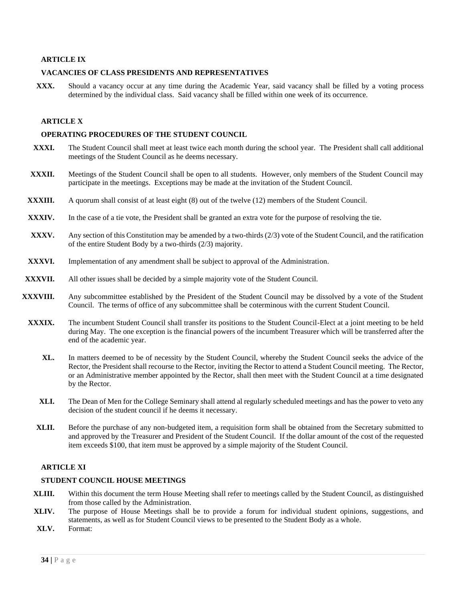# **ARTICLE IX**

## **VACANCIES OF CLASS PRESIDENTS AND REPRESENTATIVES**

**XXX.** Should a vacancy occur at any time during the Academic Year, said vacancy shall be filled by a voting process determined by the individual class. Said vacancy shall be filled within one week of its occurrence.

# **ARTICLE X**

#### **OPERATING PROCEDURES OF THE STUDENT COUNCIL**

- **XXXI.** The Student Council shall meet at least twice each month during the school year. The President shall call additional meetings of the Student Council as he deems necessary.
- **XXXII.** Meetings of the Student Council shall be open to all students. However, only members of the Student Council may participate in the meetings. Exceptions may be made at the invitation of the Student Council.
- **XXXIII.** A quorum shall consist of at least eight (8) out of the twelve (12) members of the Student Council.
- **XXXIV.** In the case of a tie vote, the President shall be granted an extra vote for the purpose of resolving the tie.
- **XXXV.** Any section of this Constitution may be amended by a two-thirds (2/3) vote of the Student Council, and the ratification of the entire Student Body by a two-thirds (2/3) majority.
- **XXXVI.** Implementation of any amendment shall be subject to approval of the Administration.
- **XXXVII.** All other issues shall be decided by a simple majority vote of the Student Council.
- **XXXVIII.** Any subcommittee established by the President of the Student Council may be dissolved by a vote of the Student Council. The terms of office of any subcommittee shall be coterminous with the current Student Council.
	- **XXXIX.** The incumbent Student Council shall transfer its positions to the Student Council-Elect at a joint meeting to be held during May. The one exception is the financial powers of the incumbent Treasurer which will be transferred after the end of the academic year.
		- **XL.** In matters deemed to be of necessity by the Student Council, whereby the Student Council seeks the advice of the Rector, the President shall recourse to the Rector, inviting the Rector to attend a Student Council meeting. The Rector, or an Administrative member appointed by the Rector, shall then meet with the Student Council at a time designated by the Rector.
		- **XLI.** The Dean of Men for the College Seminary shall attend al regularly scheduled meetings and has the power to veto any decision of the student council if he deems it necessary.
		- **XLII.** Before the purchase of any non-budgeted item, a requisition form shall be obtained from the Secretary submitted to and approved by the Treasurer and President of the Student Council. If the dollar amount of the cost of the requested item exceeds \$100, that item must be approved by a simple majority of the Student Council.

#### **ARTICLE XI**

#### **STUDENT COUNCIL HOUSE MEETINGS**

- **XLIII.** Within this document the term House Meeting shall refer to meetings called by the Student Council, as distinguished from those called by the Administration.
- **XLIV.** The purpose of House Meetings shall be to provide a forum for individual student opinions, suggestions, and statements, as well as for Student Council views to be presented to the Student Body as a whole.
- **XLV.** Format: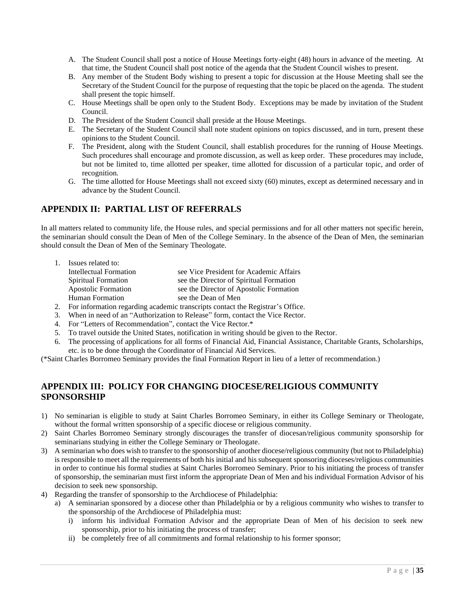- A. The Student Council shall post a notice of House Meetings forty-eight (48) hours in advance of the meeting. At that time, the Student Council shall post notice of the agenda that the Student Council wishes to present.
- B. Any member of the Student Body wishing to present a topic for discussion at the House Meeting shall see the Secretary of the Student Council for the purpose of requesting that the topic be placed on the agenda. The student shall present the topic himself.
- C. House Meetings shall be open only to the Student Body. Exceptions may be made by invitation of the Student Council.
- D. The President of the Student Council shall preside at the House Meetings.
- E. The Secretary of the Student Council shall note student opinions on topics discussed, and in turn, present these opinions to the Student Council.
- F. The President, along with the Student Council, shall establish procedures for the running of House Meetings. Such procedures shall encourage and promote discussion, as well as keep order. These procedures may include, but not be limited to, time allotted per speaker, time allotted for discussion of a particular topic, and order of recognition.
- G. The time allotted for House Meetings shall not exceed sixty (60) minutes, except as determined necessary and in advance by the Student Council.

# <span id="page-34-0"></span>**APPENDIX II: PARTIAL LIST OF REFERRALS**

In all matters related to community life, the House rules, and special permissions and for all other matters not specific herein, the seminarian should consult the Dean of Men of the College Seminary. In the absence of the Dean of Men, the seminarian should consult the Dean of Men of the Seminary Theologate.

| 1. | Issues related to:         |                                         |
|----|----------------------------|-----------------------------------------|
|    | Intellectual Formation     | see Vice President for Academic Affairs |
|    | <b>Spiritual Formation</b> | see the Director of Spiritual Formation |
|    | <b>Apostolic Formation</b> | see the Director of Apostolic Formation |
|    | Human Formation            | see the Dean of Men                     |
|    |                            |                                         |

- 2. For information regarding academic transcripts contact the Registrar's Office.
- 3. When in need of an "Authorization to Release" form, contact the Vice Rector.
- 4. For "Letters of Recommendation", contact the Vice Rector.\*
- 5. To travel outside the United States, notification in writing should be given to the Rector.
- 6. The processing of applications for all forms of Financial Aid, Financial Assistance, Charitable Grants, Scholarships, etc. is to be done through the Coordinator of Financial Aid Services.

(\*Saint Charles Borromeo Seminary provides the final Formation Report in lieu of a letter of recommendation.)

# <span id="page-34-1"></span>**APPENDIX III: POLICY FOR CHANGING DIOCESE/RELIGIOUS COMMUNITY SPONSORSHIP**

- 1) No seminarian is eligible to study at Saint Charles Borromeo Seminary, in either its College Seminary or Theologate, without the formal written sponsorship of a specific diocese or religious community.
- 2) Saint Charles Borromeo Seminary strongly discourages the transfer of diocesan/religious community sponsorship for seminarians studying in either the College Seminary or Theologate.
- 3) A seminarian who does wish to transfer to the sponsorship of another diocese/religious community (but not to Philadelphia) is responsible to meet all the requirements of both his initial and his subsequent sponsoring dioceses/religious communities in order to continue his formal studies at Saint Charles Borromeo Seminary. Prior to his initiating the process of transfer of sponsorship, the seminarian must first inform the appropriate Dean of Men and his individual Formation Advisor of his decision to seek new sponsorship.
- 4) Regarding the transfer of sponsorship to the Archdiocese of Philadelphia:
	- a) A seminarian sponsored by a diocese other than Philadelphia or by a religious community who wishes to transfer to the sponsorship of the Archdiocese of Philadelphia must:
		- i) inform his individual Formation Advisor and the appropriate Dean of Men of his decision to seek new sponsorship, prior to his initiating the process of transfer;
		- ii) be completely free of all commitments and formal relationship to his former sponsor;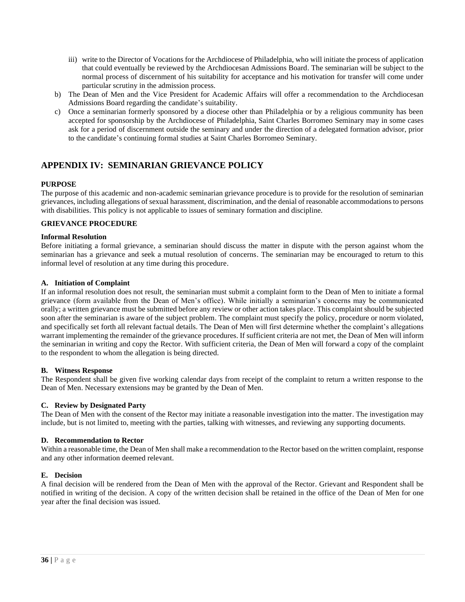- iii) write to the Director of Vocations for the Archdiocese of Philadelphia, who will initiate the process of application that could eventually be reviewed by the Archdiocesan Admissions Board. The seminarian will be subject to the normal process of discernment of his suitability for acceptance and his motivation for transfer will come under particular scrutiny in the admission process.
- b) The Dean of Men and the Vice President for Academic Affairs will offer a recommendation to the Archdiocesan Admissions Board regarding the candidate's suitability.
- c) Once a seminarian formerly sponsored by a diocese other than Philadelphia or by a religious community has been accepted for sponsorship by the Archdiocese of Philadelphia, Saint Charles Borromeo Seminary may in some cases ask for a period of discernment outside the seminary and under the direction of a delegated formation advisor, prior to the candidate's continuing formal studies at Saint Charles Borromeo Seminary.

# <span id="page-35-0"></span>**APPENDIX IV: SEMINARIAN GRIEVANCE POLICY**

# **PURPOSE**

The purpose of this academic and non-academic seminarian grievance procedure is to provide for the resolution of seminarian grievances, including allegations of sexual harassment, discrimination, and the denial of reasonable accommodations to persons with disabilities. This policy is not applicable to issues of seminary formation and discipline.

# **GRIEVANCE PROCEDURE**

# **Informal Resolution**

Before initiating a formal grievance, a seminarian should discuss the matter in dispute with the person against whom the seminarian has a grievance and seek a mutual resolution of concerns. The seminarian may be encouraged to return to this informal level of resolution at any time during this procedure.

# **A. Initiation of Complaint**

If an informal resolution does not result, the seminarian must submit a complaint form to the Dean of Men to initiate a formal grievance (form available from the Dean of Men's office). While initially a seminarian's concerns may be communicated orally; a written grievance must be submitted before any review or other action takes place. This complaint should be subjected soon after the seminarian is aware of the subject problem. The complaint must specify the policy, procedure or norm violated, and specifically set forth all relevant factual details. The Dean of Men will first determine whether the complaint's allegations warrant implementing the remainder of the grievance procedures. If sufficient criteria are not met, the Dean of Men will inform the seminarian in writing and copy the Rector. With sufficient criteria, the Dean of Men will forward a copy of the complaint to the respondent to whom the allegation is being directed.

# **B. Witness Response**

The Respondent shall be given five working calendar days from receipt of the complaint to return a written response to the Dean of Men. Necessary extensions may be granted by the Dean of Men.

# **C. Review by Designated Party**

The Dean of Men with the consent of the Rector may initiate a reasonable investigation into the matter. The investigation may include, but is not limited to, meeting with the parties, talking with witnesses, and reviewing any supporting documents.

#### **D. Recommendation to Rector**

Within a reasonable time, the Dean of Men shall make a recommendation to the Rector based on the written complaint, response and any other information deemed relevant.

#### **E. Decision**

A final decision will be rendered from the Dean of Men with the approval of the Rector. Grievant and Respondent shall be notified in writing of the decision. A copy of the written decision shall be retained in the office of the Dean of Men for one year after the final decision was issued.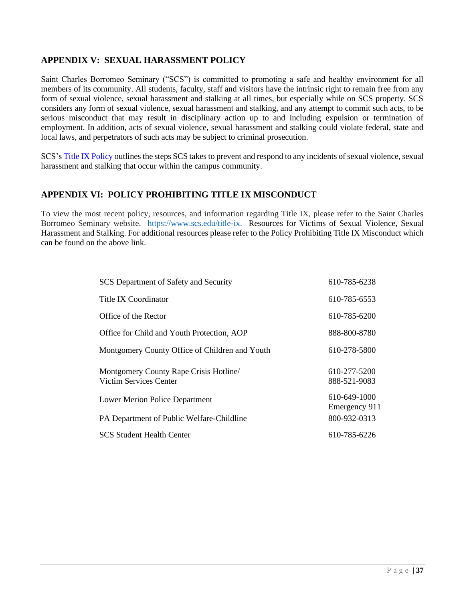# <span id="page-36-0"></span>**APPENDIX V: SEXUAL HARASSMENT POLICY**

Saint Charles Borromeo Seminary ("SCS") is committed to promoting a safe and healthy environment for all members of its community. All students, faculty, staff and visitors have the intrinsic right to remain free from any form of sexual violence, sexual harassment and stalking at all times, but especially while on SCS property. SCS considers any form of sexual violence, sexual harassment and stalking, and any attempt to commit such acts, to be serious misconduct that may result in disciplinary action up to and including expulsion or termination of employment. In addition, acts of sexual violence, sexual harassment and stalking could violate federal, state and local laws, and perpetrators of such acts may be subject to criminal prosecution.

SCS'[s Title IX Policy](https://www.scs.edu/sites/default/files/SCS%20Policy%20Prohibiting%20Title%20IX%20Misconduct.pdf) outlines the steps SCS takes to prevent and respond to any incidents of sexual violence, sexual harassment and stalking that occur within the campus community.

# <span id="page-36-1"></span>**APPENDIX VI: POLICY PROHIBITING TITLE IX MISCONDUCT**

To view the most recent policy, resources, and information regarding Title IX, please refer to the Saint Charles Borromeo Seminary website. [https://www.scs.edu/title-ix.](https://www.scs.edu/title-ix) Resources for Victims of Sexual Violence, Sexual Harassment and Stalking. For additional resources please refer to the Policy Prohibiting Title IX Misconduct which can be found on the above link.

| SCS Department of Safety and Security                           | 610-785-6238                  |
|-----------------------------------------------------------------|-------------------------------|
| Title IX Coordinator                                            | 610-785-6553                  |
| Office of the Rector                                            | 610-785-6200                  |
| Office for Child and Youth Protection, AOP                      | 888-800-8780                  |
| Montgomery County Office of Children and Youth                  | 610-278-5800                  |
| Montgomery County Rape Crisis Hotline<br>Victim Services Center | 610-277-5200<br>888-521-9083  |
| Lower Merion Police Department                                  | 610-649-1000<br>Emergency 911 |
| PA Department of Public Welfare-Childline                       | 800-932-0313                  |
| <b>SCS Student Health Center</b>                                | 610-785-6226                  |